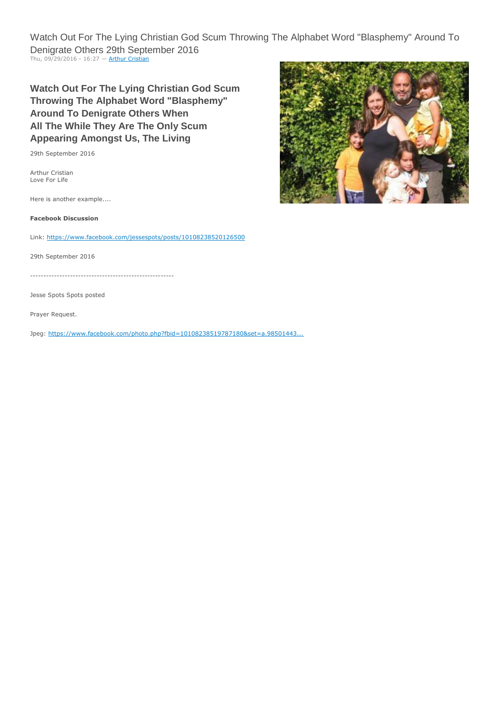Watch Out For The Lying Christian God Scum Throwing The Alphabet Word "Blasphemy" Around To Denigrate Others 29th September 2016 Thu, 09/29/2016 - 16:27 - [Arthur Cristian](http://loveforlife.com.au/user/3)

**Watch Out For The Lying Christian God Scum Throwing The Alphabet Word "Blasphemy" Around To Denigrate Others When All The While They Are The Only Scum Appearing Amongst Us, The Living**

29th September 2016

Arthur Cristian Love For Life

Here is another example....

**Facebook Discussion**

Link: <https://www.facebook.com/jessespots/posts/10108238520126500>

29th September 2016

------------------------------------------------------

Jesse Spots Spots posted

Prayer Request.

Jpeg: [https://www.facebook.com/photo.php?fbid=10108238519787180&set=a.98501443...](https://www.facebook.com/photo.php?fbid=10108238519787180&set=a.985014431100.2757661.7928875&type=3&theater)

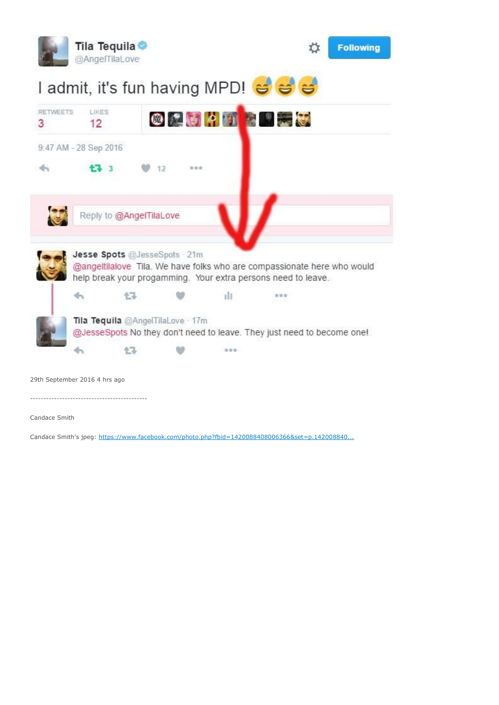

Candace Smith's jpeg: [https://www.facebook.com/photo.php?fbid=1420088408006366&set=p.142008840...](https://www.facebook.com/photo.php?fbid=1420088408006366&set=p.1420088408006366&type=3&theater)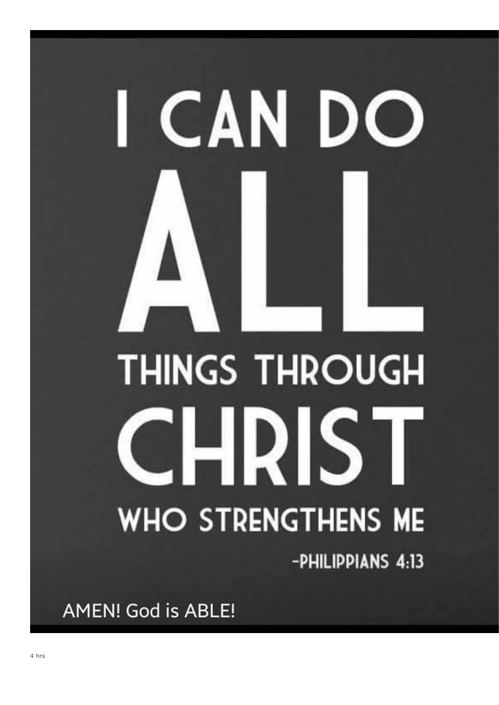# **THINGS THROUGH** -IRIS' **WHO STRENGTHENS ME** -PHILIPPIANS 4:13

CAN DO

**AMEN! God is ABLE!** 

ll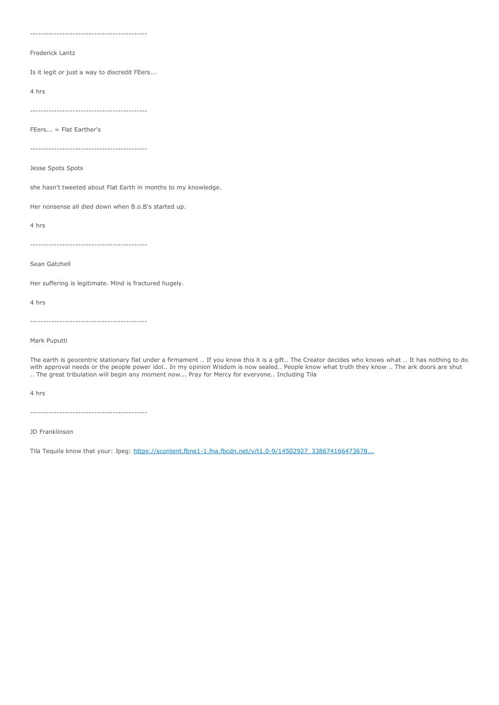--------------------------------------------

#### Frederick Lantz

Is it legit or just a way to discredit FEers...

4 hrs

--------------------------------------------

FEers... = Flat Earther's

--------------------------------------------

Jesse Spots Spots

she hasn't tweeted about Flat Earth in months to my knowledge.

Her nonsense all died down when B.o.B's started up.

4 hrs

--------------------------------------------

Sean Gatchell

Her suffering is legitimate. Mind is fractured hugely.

4 hrs

--------------------------------------------

Mark Puputti

The earth is geocentric stationary flat under a firmament .. If you know this it is a gift.. The Creator decides who knows what .. It has nothing to do with approval needs or the people power idol.. In my opinion Wisdom is now sealed.. People know what truth they know .. The ark doors are shut .. The great tribulation will begin any moment now... Pray for Mercy for everyone.. Including Tila

4 hrs

--------------------------------------------

JD Franklinson

Tila Tequila know that your: Jpeg: [https://scontent.fbne1-1.fna.fbcdn.net/v/t1.0-9/14502927\\_338674166473678...](https://scontent.fbne1-1.fna.fbcdn.net/v/t1.0-9/14502927_338674166473678_1159538266850120562_n.jpg?oh=8cc81867d9768b8145570942ce5855cb&oe=586AD70A)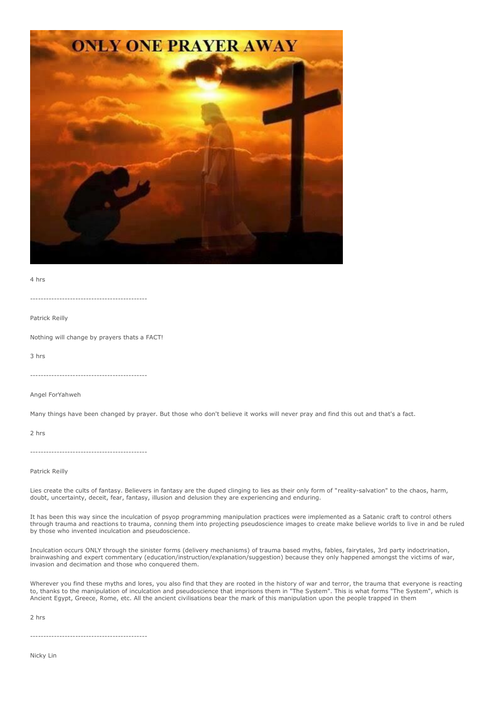

4 hrs

--------------------------------------------

Patrick Reilly

Nothing will change by prayers thats a FACT!

3 hrs

--------------------------------------------

Angel ForYahweh

Many things have been changed by prayer. But those who don't believe it works will never pray and find this out and that's a fact.

2 hrs

--------------------------------------------

#### Patrick Reilly

Lies create the cults of fantasy. Believers in fantasy are the duped clinging to lies as their only form of "reality-salvation" to the chaos, harm, doubt, uncertainty, deceit, fear, fantasy, illusion and delusion they are experiencing and enduring.

It has been this way since the inculcation of psyop programming manipulation practices were implemented as a Satanic craft to control others through trauma and reactions to trauma, conning them into projecting pseudoscience images to create make believe worlds to live in and be ruled by those who invented inculcation and pseudoscience.

Inculcation occurs ONLY through the sinister forms (delivery mechanisms) of trauma based myths, fables, fairytales, 3rd party indoctrination, brainwashing and expert commentary (education/instruction/explanation/suggestion) because they only happened amongst the victims of war, invasion and decimation and those who conquered them.

Wherever you find these myths and lores, you also find that they are rooted in the history of war and terror, the trauma that everyone is reacting to, thanks to the manipulation of inculcation and pseudoscience that imprisons them in "The System". This is what forms "The System", which is Ancient Egypt, Greece, Rome, etc. All the ancient civilisations bear the mark of this manipulation upon the people trapped in them

2 hrs

--------------------------------------------

Nicky Lin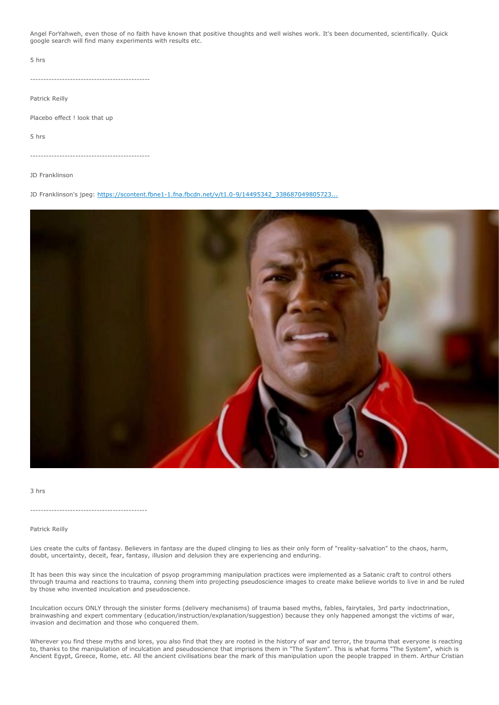Angel ForYahweh, even those of no faith have known that positive thoughts and well wishes work. It's been documented, scientifically. Quick google search will find many experiments with results etc.

5 hrs

---------------------------------------------

Patrick Reilly

Placebo effect ! look that up

5 hrs

---------------------------------------------

JD Franklinson

JD Franklinson's jpeg: [https://scontent.fbne1-1.fna.fbcdn.net/v/t1.0-9/14495342\\_338687049805723...](https://scontent.fbne1-1.fna.fbcdn.net/v/t1.0-9/14495342_338687049805723_1723737750852508965_n.jpg?oh=15338cd6b3659f31444386e851f3656d&oe=58653C92)



3 hrs

--------------------------------------------

Patrick Reilly

Lies create the cults of fantasy. Believers in fantasy are the duped clinging to lies as their only form of "reality-salvation" to the chaos, harm, doubt, uncertainty, deceit, fear, fantasy, illusion and delusion they are experiencing and enduring.

It has been this way since the inculcation of psyop programming manipulation practices were implemented as a Satanic craft to control others through trauma and reactions to trauma, conning them into projecting pseudoscience images to create make believe worlds to live in and be ruled by those who invented inculcation and pseudoscience.

Inculcation occurs ONLY through the sinister forms (delivery mechanisms) of trauma based myths, fables, fairytales, 3rd party indoctrination, brainwashing and expert commentary (education/instruction/explanation/suggestion) because they only happened amongst the victims of war, invasion and decimation and those who conquered them.

Wherever you find these myths and lores, you also find that they are rooted in the history of war and terror, the trauma that everyone is reacting to, thanks to the manipulation of inculcation and pseudoscience that imprisons them in "The System". This is what forms "The System", which is Ancient Egypt, Greece, Rome, etc. All the ancient civilisations bear the mark of this manipulation upon the people trapped in them. Arthur Cristian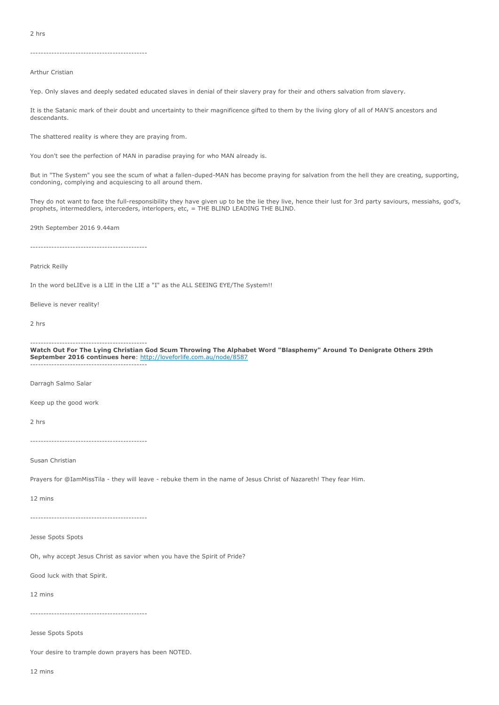2 hrs

--------------------------------------------

Arthur Cristian

Yep. Only slaves and deeply sedated educated slaves in denial of their slavery pray for their and others salvation from slavery.

It is the Satanic mark of their doubt and uncertainty to their magnificence gifted to them by the living glory of all of MAN'S ancestors and descendants.

The shattered reality is where they are praying from.

You don't see the perfection of MAN in paradise praying for who MAN already is.

But in "The System" you see the scum of what a fallen-duped-MAN has become praying for salvation from the hell they are creating, supporting, condoning, complying and acquiescing to all around them.

They do not want to face the full-responsibility they have given up to be the lie they live, hence their lust for 3rd party saviours, messiahs, god's, prophets, intermeddlers, interceders, interlopers, etc, = THE BLIND LEADING THE BLIND.

29th September 2016 9.44am

--------------------------------------------

#### Patrick Reilly

In the word beLIEve is a LIE in the LIE a "I" as the ALL SEEING EYE/The System!!

Believe is never reality!

2 hrs

-------------------------------------------- **Watch Out For The Lying Christian God Scum Throwing The Alphabet Word "Blasphemy" Around To Denigrate Others 29th** 

**September 2016 continues here**: <http://loveforlife.com.au/node/8587> --------------------------------------------

Darragh Salmo Salar

Keep up the good work

2 hrs

--------------------------------------------

Susan Christian

Prayers for @IamMissTila - they will leave - rebuke them in the name of Jesus Christ of Nazareth! They fear Him.

12 mins

--------------------------------------------

Jesse Spots Spots

Oh, why accept Jesus Christ as savior when you have the Spirit of Pride?

Good luck with that Spirit.

12 mins

--------------------------------------------

Jesse Spots Spots

Your desire to trample down prayers has been NOTED.

12 mins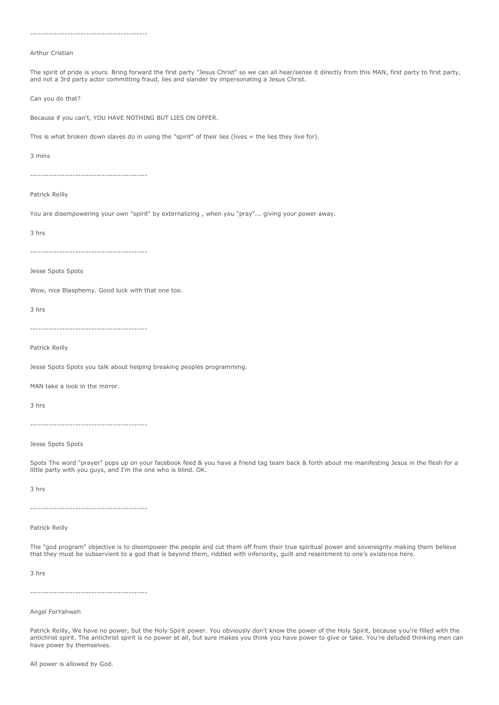| Arthur Cristian                                                                                                                                                                                                                                                                     |
|-------------------------------------------------------------------------------------------------------------------------------------------------------------------------------------------------------------------------------------------------------------------------------------|
| The spirit of pride is yours. Bring forward the first party "Jesus Christ" so we can all hear/sense it directly from this MAN, first party to first party,<br>and not a 3rd party actor committing fraud, lies and slander by impersonating a Jesus Christ.                         |
| Can you do that?                                                                                                                                                                                                                                                                    |
| Because if you can't, YOU HAVE NOTHING BUT LIES ON OFFER.                                                                                                                                                                                                                           |
| This is what broken down slaves do in using the "spirit" of their lies (lives = the lies they live for).                                                                                                                                                                            |
| 3 mins                                                                                                                                                                                                                                                                              |
| --------------------------------------                                                                                                                                                                                                                                              |
| Patrick Reilly                                                                                                                                                                                                                                                                      |
| You are disempowering your own "spirit" by externalizing, when you "pray" giving your power away.                                                                                                                                                                                   |
| 3 hrs                                                                                                                                                                                                                                                                               |
|                                                                                                                                                                                                                                                                                     |
| Jesse Spots Spots                                                                                                                                                                                                                                                                   |
| Wow, nice Blasphemy. Good luck with that one too.                                                                                                                                                                                                                                   |
| 3 hrs                                                                                                                                                                                                                                                                               |
|                                                                                                                                                                                                                                                                                     |
| Patrick Reilly                                                                                                                                                                                                                                                                      |
| Jesse Spots Spots you talk about helping breaking peoples programming.                                                                                                                                                                                                              |
| MAN take a look in the mirror.                                                                                                                                                                                                                                                      |
| 3 hrs                                                                                                                                                                                                                                                                               |
|                                                                                                                                                                                                                                                                                     |
| Jesse Spots Spots                                                                                                                                                                                                                                                                   |
| Spots The word "prayer" pops up on your facebook feed & you have a friend tag team back & forth about me manifesting Jesus in the flesh for a<br>little party with you guys, and I'm the one who is blind. OK.                                                                      |
| 3 hrs                                                                                                                                                                                                                                                                               |
|                                                                                                                                                                                                                                                                                     |
| Patrick Reilly                                                                                                                                                                                                                                                                      |
| The "god program" objective is to disempower the people and cut them off from their true spiritual power and sovereignty making them believe<br>that they must be subservient to a god that is beyond them, riddled with inferiority, guilt and resentment to one's existence here. |
| 3 hrs                                                                                                                                                                                                                                                                               |
|                                                                                                                                                                                                                                                                                     |
| Angel ForYahweh                                                                                                                                                                                                                                                                     |

Patrick Reilly, We have no power, but the Holy Spirit power. You obviously don't know the power of the Holy Spirit, because you're filled with the antichrist spirit. The antichrist spirit is no power at all, but sure makes you think you have power to give or take. You're deluded thinking men can have power by themselves.

--------------------------------------------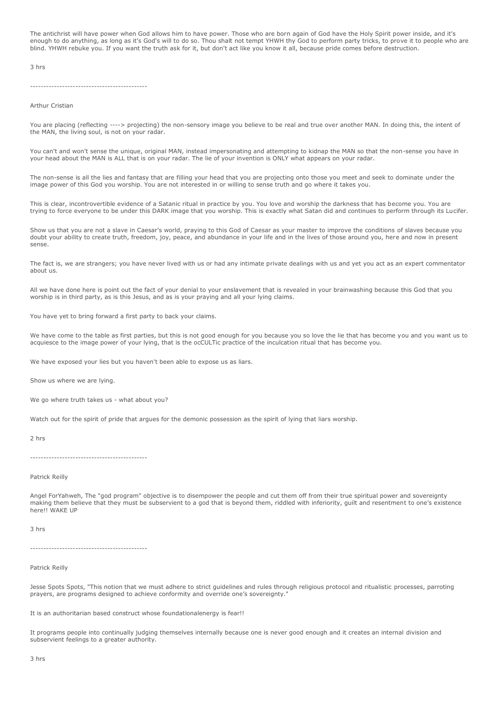The antichrist will have power when God allows him to have power. Those who are born again of God have the Holy Spirit power inside, and it's enough to do anything, as long as it's God's will to do so. Thou shalt not tempt YHWH thy God to perform party tricks, to prove it to people who are blind. YHWH rebuke you. If you want the truth ask for it, but don't act like you know it all, because pride comes before destruction.

3 hrs

#### Arthur Cristian

You are placing (reflecting ----> projecting) the non-sensory image you believe to be real and true over another MAN. In doing this, the intent of the MAN, the living soul, is not on your radar.

You can't and won't sense the unique, original MAN, instead impersonating and attempting to kidnap the MAN so that the non-sense you have in your head about the MAN is ALL that is on your radar. The lie of your invention is ONLY what appears on your radar.

The non-sense is all the lies and fantasy that are filling your head that you are projecting onto those you meet and seek to dominate under the image power of this God you worship. You are not interested in or willing to sense truth and go where it takes you.

This is clear, incontrovertible evidence of a Satanic ritual in practice by you. You love and worship the darkness that has become you. You are trying to force everyone to be under this DARK image that you worship. This is exactly what Satan did and continues to perform through its Lucifer.

Show us that you are not a slave in Caesar's world, praying to this God of Caesar as your master to improve the conditions of slaves because you doubt your ability to create truth, freedom, joy, peace, and abundance in your life and in the lives of those around you, here and now in present sense.

The fact is, we are strangers; you have never lived with us or had any intimate private dealings with us and yet you act as an expert commentator about us.

All we have done here is point out the fact of your denial to your enslavement that is revealed in your brainwashing because this God that you worship is in third party, as is this Jesus, and as is your praying and all your lying claims.

You have yet to bring forward a first party to back your claims.

We have come to the table as first parties, but this is not good enough for you because you so love the lie that has become you and you want us to acquiesce to the image power of your lying, that is the ocCULTic practice of the inculcation ritual that has become you.

We have exposed your lies but you haven't been able to expose us as liars.

Show us where we are lying.

We go where truth takes us - what about you?

Watch out for the spirit of pride that argues for the demonic possession as the spirit of Iving that liars worship.

2 hrs

--------------------------------------------

Patrick Reilly

Angel ForYahweh, The "god program" objective is to disempower the people and cut them off from their true spiritual power and sovereignty making them believe that they must be subservient to a god that is beyond them, riddled with inferiority, guilt and resentment to one's existence here!! WAKE UP

3 hrs

--------------------------------------------

Patrick Reilly

Jesse Spots Spots, "This notion that we must adhere to strict guidelines and rules through religious protocol and ritualistic processes, parroting prayers, are programs designed to achieve conformity and override one's sovereignty."

It is an authoritarian based construct whose foundationalenergy is fear!!

It programs people into continually judging themselves internally because one is never good enough and it creates an internal division and subservient feelings to a greater authority.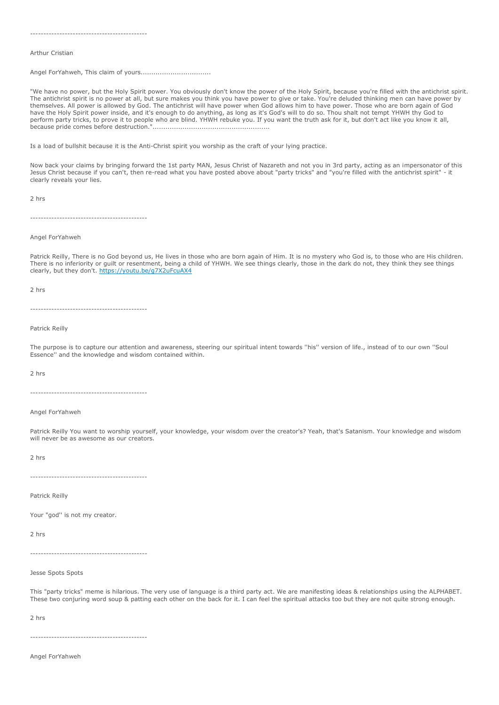--------------------------------------------

#### Arthur Cristian

Angel ForYahweh, This claim of yours.................................

"We have no power, but the Holy Spirit power. You obviously don't know the power of the Holy Spirit, because you're filled with the antichrist spirit. The antichrist spirit is no power at all, but sure makes you think you have power to give or take. You're deluded thinking men can have power by themselves. All power is allowed by God. The antichrist will have power when God allows him to have power. Those who are born again of God have the Holy Spirit power inside, and it's enough to do anything, as long as it's God's will to do so. Thou shalt not tempt YHWH thy God to perform party tricks, to prove it to people who are blind. YHWH rebuke you. If you want the truth ask for it, but don't act like you know it all, because pride comes before destruction.".......................................................

Is a load of bullshit because it is the Anti-Christ spirit you worship as the craft of your lying practice.

Now back your claims by bringing forward the 1st party MAN, Jesus Christ of Nazareth and not you in 3rd party, acting as an impersonator of this Jesus Christ because if you can't, then re-read what you have posted above about "party tricks" and "you're filled with the antichrist spirit" - it clearly reveals your lies.

2 hrs

--------------------------------------------

Angel ForYahweh

Patrick Reilly, There is no God beyond us, He lives in those who are born again of Him. It is no mystery who God is, to those who are His children. There is no inferiority or guilt or resentment, being a child of YHWH. We see things clearly, those in the dark do not, they think they see things clearly, but they don't. <https://youtu.be/g7X2uFcuAX4>

2 hrs

--------------------------------------------

Patrick Reilly

The purpose is to capture our attention and awareness, steering our spiritual intent towards ''his'' version of life., instead of to our own ''Soul Essence'' and the knowledge and wisdom contained within.

2 hrs

--------------------------------------------

Angel ForYahweh

Patrick Reilly You want to worship yourself, your knowledge, your wisdom over the creator's? Yeah, that's Satanism. Your knowledge and wisdom will never be as awesome as our creators.

2 hrs

--------------------------------------------

Patrick Reilly

Your "god" is not my creator.

2 hrs

--------------------------------------------

Jesse Spots Spots

This "party tricks" meme is hilarious. The very use of language is a third party act. We are manifesting ideas & relationships using the ALPHABET. These two conjuring word soup & patting each other on the back for it. I can feel the spiritual attacks too but they are not quite strong enough.

2 hrs

--------------------------------------------

Angel ForYahweh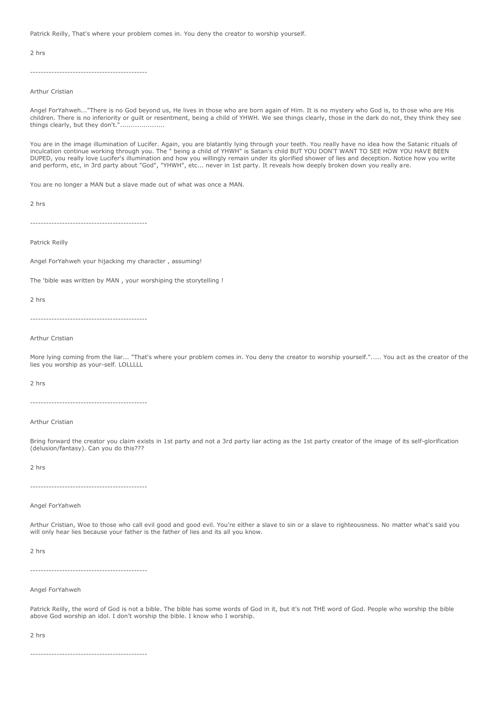Patrick Reilly, That's where your problem comes in. You deny the creator to worship yourself.

2 hrs

--------------------------------------------

Arthur Cristian

Angel ForYahweh..."There is no God beyond us, He lives in those who are born again of Him. It is no mystery who God is, to those who are His children. There is no inferiority or guilt or resentment, being a child of YHWH. We see things clearly, those in the dark do not, they think they see things clearly, but they don't.".....................

You are in the image illumination of Lucifer. Again, you are blatantly lying through your teeth. You really have no idea how the Satanic rituals of inculcation continue working through you. The " being a child of YHWH" is Satan's child BUT YOU DON'T WANT TO SEE HOW YOU HAVE BEEN DUPED, you really love Lucifer's illumination and how you willingly remain under its glorified shower of lies and deception. Notice how you write and perform, etc, in 3rd party about "God", "YHWH", etc... never in 1st party. It reveals how deeply broken down you really are.

You are no longer a MAN but a slave made out of what was once a MAN.

2 hrs

--------------------------------------------

Patrick Reilly

Angel ForYahweh your hijacking my character , assuming!

The 'bible was written by MAN , your worshiping the storytelling !

2 hrs

--------------------------------------------

Arthur Cristian

More lying coming from the liar... "That's where your problem comes in. You deny the creator to worship yourself."..... You act as the creator of the lies you worship as your-self. LOLLLLL

2 hrs

--------------------------------------------

Arthur Cristian

Bring forward the creator you claim exists in 1st party and not a 3rd party liar acting as the 1st party creator of the image of its self-glorification (delusion/fantasy). Can you do this???

2 hrs

--------------------------------------------

Angel ForYahweh

Arthur Cristian, Woe to those who call evil good and good evil. You're either a slave to sin or a slave to righteousness. No matter what's said you will only hear lies because your father is the father of lies and its all you know.

2 hrs

--------------------------------------------

Angel ForYahweh

Patrick Reilly, the word of God is not a bible. The bible has some words of God in it, but it's not THE word of God. People who worship the bible above God worship an idol. I don't worship the bible. I know who I worship.

2 hrs

--------------------------------------------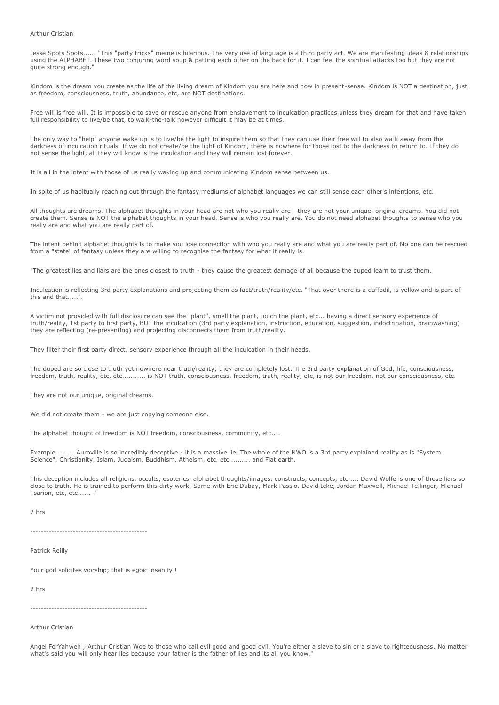#### Arthur Cristian

Jesse Spots Spots...... "This "party tricks" meme is hilarious. The very use of language is a third party act. We are manifesting ideas & relationships using the ALPHABET. These two conjuring word soup & patting each other on the back for it. I can feel the spiritual attacks too but they are not quite strong enough."

Kindom is the dream you create as the life of the living dream of Kindom you are here and now in present-sense. Kindom is NOT a destination, just as freedom, consciousness, truth, abundance, etc, are NOT destinations.

Free will is free will. It is impossible to save or rescue anyone from enslavement to inculcation practices unless they dream for that and have taken full responsibility to live/be that, to walk-the-talk however difficult it may be at times.

The only way to "help" anyone wake up is to live/be the light to inspire them so that they can use their free will to also walk away from the darkness of inculcation rituals. If we do not create/be the light of Kindom, there is nowhere for those lost to the darkness to return to. If they do not sense the light, all they will know is the inculcation and they will remain lost forever.

It is all in the intent with those of us really waking up and communicating Kindom sense between us.

In spite of us habitually reaching out through the fantasy mediums of alphabet languages we can still sense each other's intentions, etc.

All thoughts are dreams. The alphabet thoughts in your head are not who you really are - they are not your unique, original dreams. You did not create them. Sense is NOT the alphabet thoughts in your head. Sense is who you really are. You do not need alphabet thoughts to sense who you really are and what you are really part of.

The intent behind alphabet thoughts is to make you lose connection with who you really are and what you are really part of. No one can be rescued from a "state" of fantasy unless they are willing to recognise the fantasy for what it really is.

"The greatest lies and liars are the ones closest to truth - they cause the greatest damage of all because the duped learn to trust them.

Inculcation is reflecting 3rd party explanations and projecting them as fact/truth/reality/etc. "That over there is a daffodil, is yellow and is part of this and that.....".

A victim not provided with full disclosure can see the "plant", smell the plant, touch the plant, etc... having a direct sensory experience of truth/reality, 1st party to first party, BUT the inculcation (3rd party explanation, instruction, education, suggestion, indoctrination, brainwashing) they are reflecting (re-presenting) and projecting disconnects them from truth/reality.

They filter their first party direct, sensory experience through all the inculcation in their heads.

The duped are so close to truth yet nowhere near truth/reality; they are completely lost. The 3rd party explanation of God, life, consciousness, freedom, truth, reality, etc, etc........... is NOT truth, consciousness, freedom, truth, reality, etc, is not our freedom, not our consciousness, etc.

They are not our unique, original dreams.

We did not create them - we are just conving someone else.

The alphabet thought of freedom is NOT freedom, consciousness, community, etc....

Example......... Auroville is so incredibly deceptive - it is a massive lie. The whole of the NWO is a 3rd party explained reality as is "System Science", Christianity, Islam, Judaism, Buddhism, Atheism, etc, etc.......... and Flat earth.

This deception includes all religions, occults, esoterics, alphabet thoughts/images, constructs, concepts, etc..... David Wolfe is one of those liars so close to truth. He is trained to perform this dirty work. Same with Eric Dubay, Mark Passio. David Icke, Jordan Maxwell, Michael Tellinger, Michael Tsarion, etc, etc...... -

2 hrs

--------------------------------------------

Patrick Reilly

Your god solicites worship; that is egoic insanity !

2 hrs

--------------------------------------------

Arthur Cristian

Angel ForYahweh ,"Arthur Cristian Woe to those who call evil good and good evil. You're either a slave to sin or a slave to righteousness. No matter what's said you will only hear lies because your father is the father of lies and its all you know."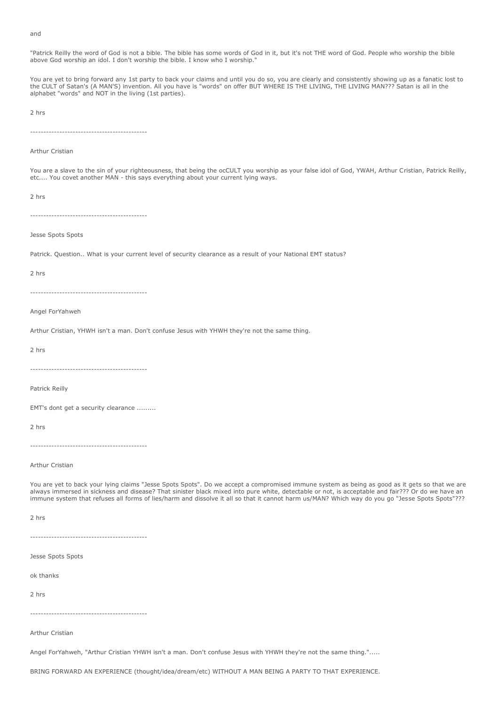#### and

"Patrick Reilly the word of God is not a bible. The bible has some words of God in it, but it's not THE word of God. People who worship the bible above God worship an idol. I don't worship the bible. I know who I worship."

You are yet to bring forward any 1st party to back your claims and until you do so, you are clearly and consistently showing up as a fanatic lost to the CULT of Satan's (A MAN'S) invention. All you have is "words" on offer BUT WHERE IS THE LIVING, THE LIVING MAN??? Satan is all in the alphabet "words" and NOT in the living (1st parties).

2 hrs

--------------------------------------------

Arthur Cristian

You are a slave to the sin of your righteousness, that being the ocCULT you worship as your false idol of God, YWAH, Arthur Cristian, Patrick Reilly, etc.... You covet another MAN - this says everything about your current lying ways.

2 hrs

--------------------------------------------

Jesse Spots Spots

Patrick. Question.. What is your current level of security clearance as a result of your National EMT status?

2 hrs

--------------------------------------------

Angel ForYahweh

Arthur Cristian, YHWH isn't a man. Don't confuse Jesus with YHWH they're not the same thing.

2 hrs

--------------------------------------------

Patrick Reilly

EMT's dont get a security clearance .........

2 hrs

--------------------------------------------

Arthur Cristian

You are yet to back your lying claims "Jesse Spots Spots". Do we accept a compromised immune system as being as good as it gets so that we are always immersed in sickness and disease? That sinister black mixed into pure white, detectable or not, is acceptable and fair??? Or do we have an immune system that refuses all forms of lies/harm and dissolve it all so that it cannot harm us/MAN? Which way do you go "Jesse Spots Spots"???

2 hrs

--------------------------------------------

Jesse Spots Spots

ok thanks

2 hrs

--------------------------------------------

Arthur Cristian

Angel ForYahweh, "Arthur Cristian YHWH isn't a man. Don't confuse Jesus with YHWH they're not the same thing.".....

BRING FORWARD AN EXPERIENCE (thought/idea/dream/etc) WITHOUT A MAN BEING A PARTY TO THAT EXPERIENCE.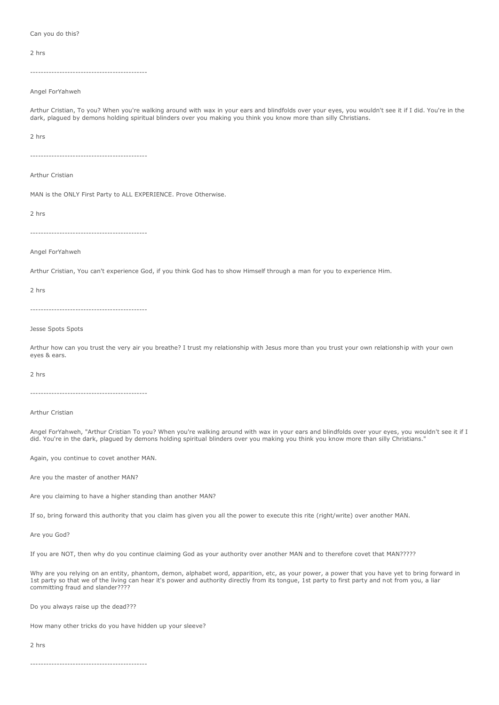Can you do this?

2 hrs

--------------------------------------------

Angel ForYahweh

Arthur Cristian, To you? When you're walking around with wax in your ears and blindfolds over your eyes, you wouldn't see it if I did. You're in the dark, plagued by demons holding spiritual blinders over you making you think you know more than silly Christians.

2 hrs

--------------------------------------------

Arthur Cristian

MAN is the ONLY First Party to ALL EXPERIENCE. Prove Otherwise.

2 hrs

--------------------------------------------

Angel ForYahweh

Arthur Cristian, You can't experience God, if you think God has to show Himself through a man for you to experience Him.

2 hrs

--------------------------------------------

Jesse Spots Spots

Arthur how can you trust the very air you breathe? I trust my relationship with Jesus more than you trust your own relationship with your own eyes & ears.

2 hrs

--------------------------------------------

Arthur Cristian

Angel ForYahweh, "Arthur Cristian To you? When you're walking around with wax in your ears and blindfolds over your eyes, you wouldn't see it if I did. You're in the dark, plagued by demons holding spiritual blinders over you making you think you know more than silly Christians."

Again, you continue to covet another MAN.

Are you the master of another MAN?

Are you claiming to have a higher standing than another MAN?

If so, bring forward this authority that you claim has given you all the power to execute this rite (right/write) over another MAN.

Are you God?

If you are NOT, then why do you continue claiming God as your authority over another MAN and to therefore covet that MAN?????

Why are you relying on an entity, phantom, demon, alphabet word, apparition, etc, as your power, a power that you have yet to bring forward in 1st party so that we of the living can hear it's power and authority directly from its tongue, 1st party to first party and not from you, a liar committing fraud and slander????

Do you always raise up the dead???

How many other tricks do you have hidden up your sleeve?

2 hrs

--------------------------------------------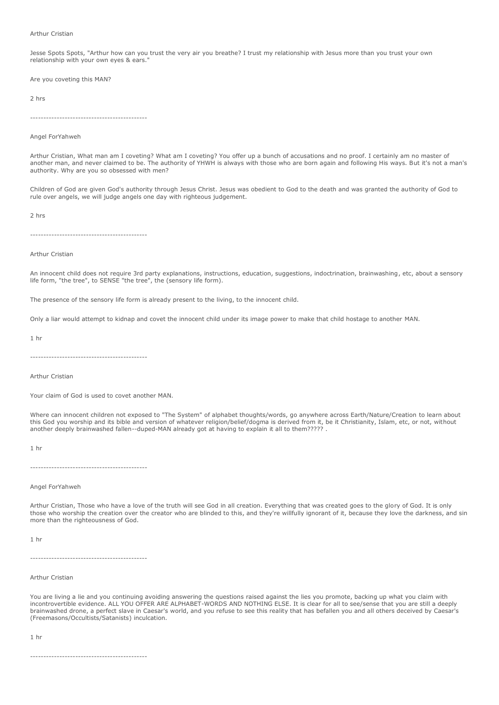#### Arthur Cristian

Jesse Spots Spots, "Arthur how can you trust the very air you breathe? I trust my relationship with Jesus more than you trust your own relationship with your own eyes & ears.'

Are you coveting this MAN?

2 hrs

--------------------------------------------

Angel ForYahweh

Arthur Cristian, What man am I coveting? What am I coveting? You offer up a bunch of accusations and no proof. I certainly am no master of another man, and never claimed to be. The authority of YHWH is always with those who are born again and following His ways. But it's not a man's authority. Why are you so obsessed with men?

Children of God are given God's authority through Jesus Christ. Jesus was obedient to God to the death and was granted the authority of God to rule over angels, we will judge angels one day with righteous judgement.

2 hrs

--------------------------------------------

#### Arthur Cristian

An innocent child does not require 3rd party explanations, instructions, education, suggestions, indoctrination, brainwashing, etc, about a sensory life form, "the tree", to SENSE "the tree", the (sensory life form).

The presence of the sensory life form is already present to the living, to the innocent child.

Only a liar would attempt to kidnap and covet the innocent child under its image power to make that child hostage to another MAN.

1 hr

--------------------------------------------

Arthur Cristian

Your claim of God is used to covet another MAN.

Where can innocent children not exposed to "The System" of alphabet thoughts/words, go anywhere across Earth/Nature/Creation to learn about this God you worship and its bible and version of whatever religion/belief/dogma is derived from it, be it Christianity, Islam, etc, or not, without another deeply brainwashed fallen--duped-MAN already got at having to explain it all to them????? .

1 hr

--------------------------------------------

Angel ForYahweh

Arthur Cristian, Those who have a love of the truth will see God in all creation. Everything that was created goes to the glory of God. It is only those who worship the creation over the creator who are blinded to this, and they're willfully ignorant of it, because they love the darkness, and sin more than the righteousness of God.

1 hr

--------------------------------------------

Arthur Cristian

You are living a lie and you continuing avoiding answering the questions raised against the lies you promote, backing up what you claim with incontrovertible evidence. ALL YOU OFFER ARE ALPHABET-WORDS AND NOTHING ELSE. It is clear for all to see/sense that you are still a deeply brainwashed drone, a perfect slave in Caesar's world, and you refuse to see this reality that has befallen you and all others deceived by Caesar's (Freemasons/Occultists/Satanists) inculcation.

1 hr

--------------------------------------------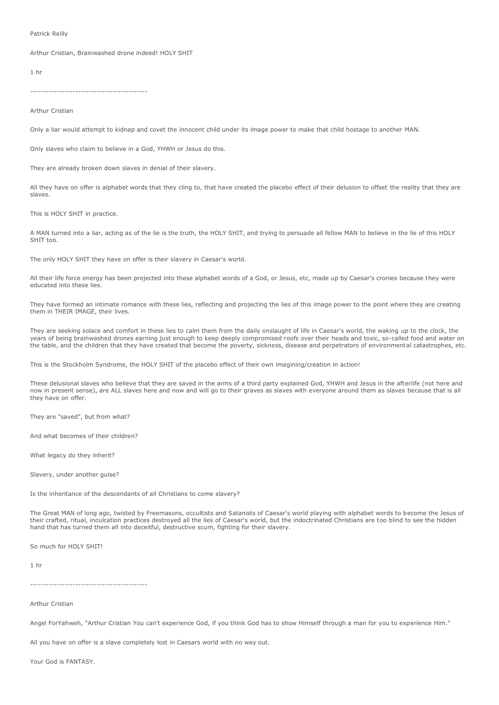#### Patrick Reilly

Arthur Cristian, Brainwashed drone indeed! HOLY SHIT

1 hr

--------------------------------------------

Arthur Cristian

Only a liar would attempt to kidnap and covet the innocent child under its image power to make that child hostage to another MAN.

Only slaves who claim to believe in a God, YHWH or Jesus do this.

They are already broken down slaves in denial of their slavery.

All they have on offer is alphabet words that they cling to, that have created the placebo effect of their delusion to offset the reality that they are slaves.

This is HOLY SHIT in practice.

A MAN turned into a liar, acting as of the lie is the truth, the HOLY SHIT, and trying to persuade all fellow MAN to believe in the lie of this HOLY SHIT too.

The only HOLY SHIT they have on offer is their slavery in Caesar's world.

All their life force energy has been projected into these alphabet words of a God, or Jesus, etc, made up by Caesar's cronies because they were educated into these lies.

They have formed an intimate romance with these lies, reflecting and projecting the lies of this image power to the point where they are creating them in THEIR IMAGE, their lives.

They are seeking solace and comfort in these lies to calm them from the daily onslaught of life in Caesar's world, the waking up to the clock, the years of being brainwashed drones earning just enough to keep deeply compromised roofs over their heads and toxic, so-called food and water on the table, and the children that they have created that become the poverty, sickness, disease and perpetrators of environmental catastrophes, etc.

This is the Stockholm Syndrome, the HOLY SHIT of the placebo effect of their own imagining/creation in action!

These delusional slaves who believe that they are saved in the arms of a third party explained God, YHWH and Jesus in the afterlife (not here and now in present sense), are ALL slaves here and now and will go to their graves as slaves with everyone around them as slaves because that is all they have on offer.

They are "saved", but from what?

And what becomes of their children?

What legacy do they inherit?

Slavery, under another guise?

Is the inheritance of the descendants of all Christians to come slavery?

The Great MAN of long ago, twisted by Freemasons, occultists and Satanists of Caesar's world playing with alphabet words to become the Jesus of their crafted, ritual, inculcation practices destroyed all the lies of Caesar's world, but the indoctrinated Christians are too blind to see the hidden hand that has turned them all into deceitful, destructive scum, fighting for their slavery.

So much for HOLY SHITI

1 hr

--------------------------------------------

Arthur Cristian

Angel ForYahweh, "Arthur Cristian You can't experience God, if you think God has to show Himself through a man for you to experience Him."

All you have on offer is a slave completely lost in Caesars world with no way out.

Your God is FANTASY.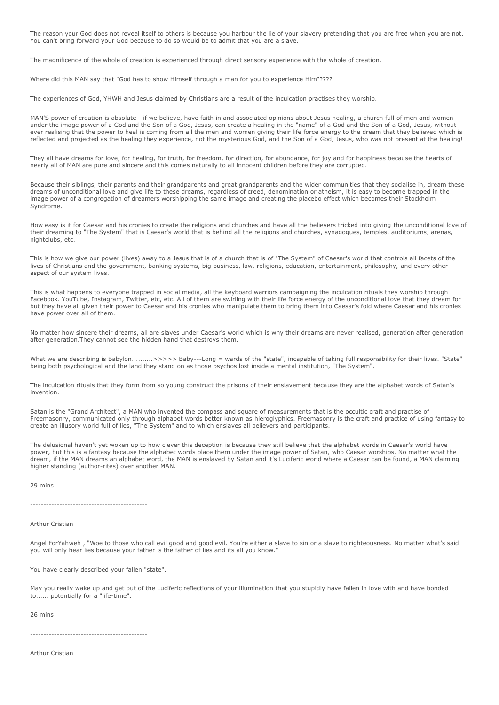The reason your God does not reveal itself to others is because you harbour the lie of your slavery pretending that you are free when you are not. You can't bring forward your God because to do so would be to admit that you are a slave.

The magnificence of the whole of creation is experienced through direct sensory experience with the whole of creation.

Where did this MAN say that "God has to show Himself through a man for you to experience Him"????

The experiences of God, YHWH and Jesus claimed by Christians are a result of the inculcation practises they worship.

MAN'S power of creation is absolute - if we believe, have faith in and associated opinions about Jesus healing, a church full of men and women under the image power of a God and the Son of a God, Jesus, can create a healing in the "name" of a God and the Son of a God, Jesus, without ever realising that the power to heal is coming from all the men and women giving their life force energy to the dream that they believed which is reflected and projected as the healing they experience, not the mysterious God, and the Son of a God, Jesus, who was not present at the healing!

They all have dreams for love, for healing, for truth, for freedom, for direction, for abundance, for joy and for happiness because the hearts of nearly all of MAN are pure and sincere and this comes naturally to all innocent children before they are corrupted.

Because their siblings, their parents and their grandparents and great grandparents and the wider communities that they socialise in, dream these dreams of unconditional love and give life to these dreams, regardless of creed, denomination or atheism, it is easy to become trapped in the image power of a congregation of dreamers worshipping the same image and creating the placebo effect which becomes their Stockholm Syndrome.

How easy is it for Caesar and his cronies to create the religions and churches and have all the believers tricked into giving the unconditional love of their dreaming to "The System" that is Caesar's world that is behind all the religions and churches, synagogues, temples, auditoriums, arenas, nightclubs, etc.

This is how we give our power (lives) away to a Jesus that is of a church that is of "The System" of Caesar's world that controls all facets of the lives of Christians and the government, banking systems, big business, law, religions, education, entertainment, philosophy, and every other aspect of our system lives.

This is what happens to everyone trapped in social media, all the keyboard warriors campaigning the inculcation rituals they worship through Facebook. YouTube, Instagram, Twitter, etc, etc. All of them are swirling with their life force energy of the unconditional love that they dream for but they have all given their power to Caesar and his cronies who manipulate them to bring them into Caesar's fold where Caesar and his cronies have power over all of them.

No matter how sincere their dreams, all are slaves under Caesar's world which is why their dreams are never realised, generation after generation after generation.They cannot see the hidden hand that destroys them.

What we are describing is Babylon.........>>>>> Baby---Long = wards of the "state", incapable of taking full responsibility for their lives. "State" being both psychological and the land they stand on as those psychos lost inside a mental institution, "The System".

The inculcation rituals that they form from so young construct the prisons of their enslavement because they are the alphabet words of Satan's invention.

Satan is the "Grand Architect", a MAN who invented the compass and square of measurements that is the occultic craft and practise of Freemasonry, communicated only through alphabet words better known as hieroglyphics. Freemasonry is the craft and practice of using fantasy to create an illusory world full of lies, "The System" and to which enslaves all believers and participants.

The delusional haven't yet woken up to how clever this deception is because they still believe that the alphabet words in Caesar's world have power, but this is a fantasy because the alphabet words place them under the image power of Satan, who Caesar worships. No matter what the dream, if the MAN dreams an alphabet word, the MAN is enslaved by Satan and it's Luciferic world where a Caesar can be found, a MAN claiming higher standing (author-rites) over another MAN.

29 mins

--------------------------------------------

Arthur Cristian

Angel ForYahweh , "Woe to those who call evil good and good evil. You're either a slave to sin or a slave to righteousness. No matter what's said you will only hear lies because your father is the father of lies and its all you know."

You have clearly described your fallen "state".

May you really wake up and get out of the Luciferic reflections of your illumination that you stupidly have fallen in love with and have bonded to...... potentially for a "life-time".

26 mins

--------------------------------------------

Arthur Cristian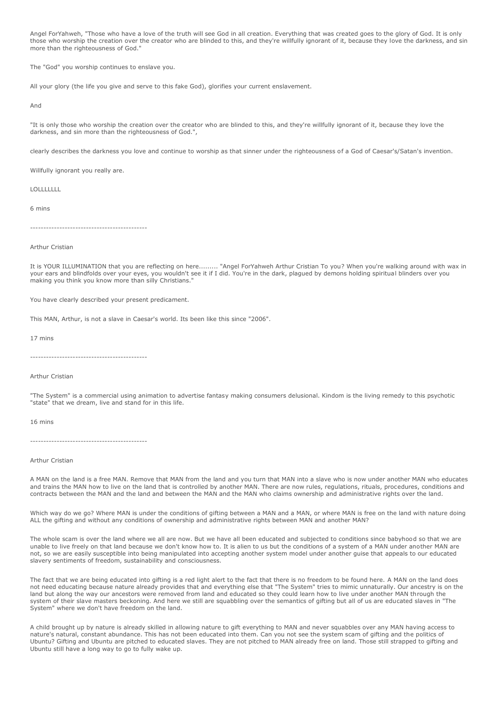Angel ForYahweh, "Those who have a love of the truth will see God in all creation. Everything that was created goes to the glory of God. It is only those who worship the creation over the creator who are blinded to this, and they're willfully ignorant of it, because they love the darkness, and sin more than the righteousness of God.

The "God" you worship continues to enslave you.

All your glory (the life you give and serve to this fake God), glorifies your current enslavement.

And

"It is only those who worship the creation over the creator who are blinded to this, and they're willfully ignorant of it, because they love the darkness, and sin more than the righteousness of God.",

clearly describes the darkness you love and continue to worship as that sinner under the righteousness of a God of Caesar's/Satan's invention.

Willfully ignorant you really are.

LOLLLLLLL

6 mins

--------------------------------------------

#### Arthur Cristian

It is YOUR ILLUMINATION that you are reflecting on here......... "Angel ForYahweh Arthur Cristian To you? When you're walking around with wax in your ears and blindfolds over your eyes, you wouldn't see it if I did. You're in the dark, plagued by demons holding spiritual blinders over you making you think you know more than silly Christians."

You have clearly described your present predicament.

This MAN, Arthur, is not a slave in Caesar's world. Its been like this since "2006".

17 mins

--------------------------------------------

#### Arthur Cristian

"The System" is a commercial using animation to advertise fantasy making consumers delusional. Kindom is the living remedy to this psychotic "state" that we dream, live and stand for in this life.

16 mins

--------------------------------------------

#### Arthur Cristian

A MAN on the land is a free MAN. Remove that MAN from the land and you turn that MAN into a slave who is now under another MAN who educates and trains the MAN how to live on the land that is controlled by another MAN. There are now rules, regulations, rituals, procedures, conditions and contracts between the MAN and the land and between the MAN and the MAN who claims ownership and administrative rights over the land.

Which way do we go? Where MAN is under the conditions of gifting between a MAN and a MAN, or where MAN is free on the land with nature doing ALL the gifting and without any conditions of ownership and administrative rights between MAN and another MAN?

The whole scam is over the land where we all are now. But we have all been educated and subjected to conditions since babyhood so that we are unable to live freely on that land because we don't know how to. It is alien to us but the conditions of a system of a MAN under another MAN are not, so we are easily susceptible into being manipulated into accepting another system model under another guise that appeals to our educated slavery sentiments of freedom, sustainability and consciousness.

The fact that we are being educated into gifting is a red light alert to the fact that there is no freedom to be found here. A MAN on the land does not need educating because nature already provides that and everything else that "The System" tries to mimic unnaturally. Our ancestry is on the land but along the way our ancestors were removed from land and educated so they could learn how to live under another MAN through the system of their slave masters beckoning. And here we still are squabbling over the semantics of gifting but all of us are educated slaves in "The System" where we don't have freedom on the land.

A child brought up by nature is already skilled in allowing nature to gift everything to MAN and never squabbles over any MAN having access to nature's natural, constant abundance. This has not been educated into them. Can you not see the system scam of gifting and the politics of Ubuntu? Gifting and Ubuntu are pitched to educated slaves. They are not pitched to MAN already free on land. Those still strapped to gifting and Ubuntu still have a long way to go to fully wake up.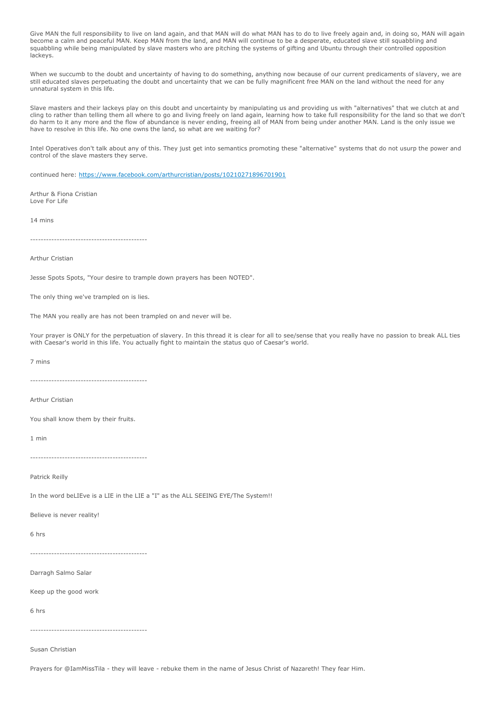Give MAN the full responsibility to live on land again, and that MAN will do what MAN has to do to live freely again and, in doing so, MAN will again become a calm and peaceful MAN. Keep MAN from the land, and MAN will continue to be a desperate, educated slave still squabbling and squabbling while being manipulated by slave masters who are pitching the systems of gifting and Ubuntu through their controlled opposition lackeys.

When we succumb to the doubt and uncertainty of having to do something, anything now because of our current predicaments of slavery, we are still educated slaves perpetuating the doubt and uncertainty that we can be fully magnificent free MAN on the land without the need for any unnatural system in this life.

Slave masters and their lackeys play on this doubt and uncertainty by manipulating us and providing us with "alternatives" that we clutch at and cling to rather than telling them all where to go and living freely on land again, learning how to take full responsibility for the land so that we don't do harm to it any more and the flow of abundance is never ending, freeing all of MAN from being under another MAN. Land is the only issue we have to resolve in this life. No one owns the land, so what are we waiting for?

Intel Operatives don't talk about any of this. They just get into semantics promoting these "alternative" systems that do not usurp the power and control of the slave masters they serve.

continued here: <https://www.facebook.com/arthurcristian/posts/10210271896701901>

Arthur & Fiona Cristian Love For Life

14 mins

--------------------------------------------

Arthur Cristian

Jesse Spots Spots, "Your desire to trample down prayers has been NOTED".

The only thing we've trampled on is lies.

The MAN you really are has not been trampled on and never will be.

Your prayer is ONLY for the perpetuation of slavery. In this thread it is clear for all to see/sense that you really have no passion to break ALL ties with Caesar's world in this life. You actually fight to maintain the status quo of Caesar's world.

7 mins

--------------------------------------------

Arthur Cristian

You shall know them by their fruits.

1 min

--------------------------------------------

Patrick Reilly

In the word beLIEve is a LIE in the LIE a "I" as the ALL SEEING EYE/The System!!

Believe is never reality!

6 hrs

--------------------------------------------

Darragh Salmo Salar

Keep up the good work

6 hrs

--------------------------------------------

Susan Christian

Prayers for @IamMissTila - they will leave - rebuke them in the name of Jesus Christ of Nazareth! They fear Him.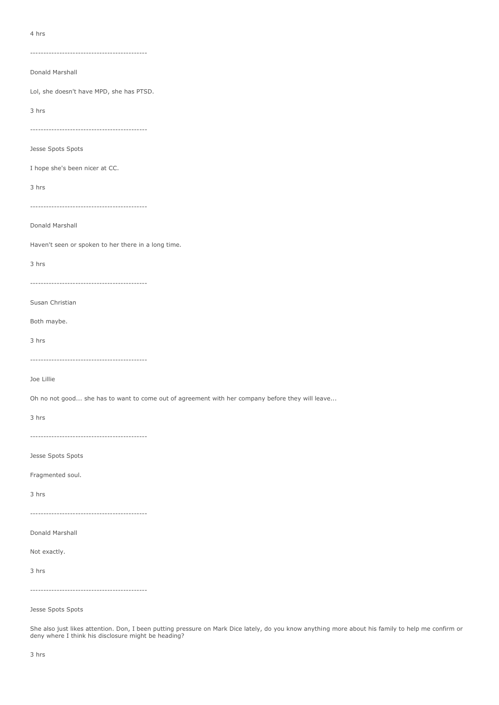4 hrs

--------------------------------------------

Donald Marshall

Lol, she doesn't have MPD, she has PTSD.

3 hrs

--------------------------------------------

Jesse Spots Spots

I hope she's been nicer at CC.

3 hrs

--------------------------------------------

Donald Marshall

Haven't seen or spoken to her there in a long time.

3 hrs

--------------------------------------------

Susan Christian

Both maybe.

3 hrs

--------------------------------------------

Joe Lillie

Oh no not good... she has to want to come out of agreement with her company before they will leave...

3 hrs

--------------------------------------------

Jesse Spots Spots

Fragmented soul.

3 hrs

--------------------------------------------

Donald Marshall

Not exactly.

3 hrs

--------------------------------------------

Jesse Spots Spots

She also just likes attention. Don, I been putting pressure on Mark Dice lately, do you know anything more about his family to help me confirm or deny where I think his disclosure might be heading?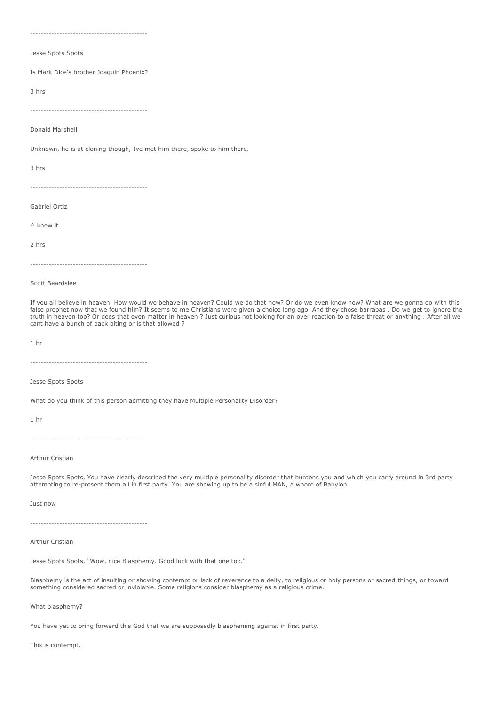--------------------------------------------

Jesse Spots Spots

Is Mark Dice's brother Joaquin Phoenix?

3 hrs

--------------------------------------------

Donald Marshall

Unknown, he is at cloning though, Ive met him there, spoke to him there.

3 hrs

--------------------------------------------

Gabriel Ortiz

^ knew it..

2 hrs

--------------------------------------------

Scott Beardslee

If you all believe in heaven. How would we behave in heaven? Could we do that now? Or do we even know how? What are we gonna do with this false prophet now that we found him? It seems to me Christians were given a choice long ago. And they chose barrabas . Do we get to ignore the truth in heaven too? Or does that even matter in heaven ? Just curious not looking for an over reaction to a false threat or anything . After all we cant have a bunch of back biting or is that allowed ?

1 hr

--------------------------------------------

Jesse Spots Spots

What do you think of this person admitting they have Multiple Personality Disorder?

1 hr

--------------------------------------------

Arthur Cristian

Jesse Spots Spots, You have clearly described the very multiple personality disorder that burdens you and which you carry around in 3rd party attempting to re-present them all in first party. You are showing up to be a sinful MAN, a whore of Babylon.

Just now

--------------------------------------------

Arthur Cristian

Jesse Spots Spots, "Wow, nice Blasphemy. Good luck with that one too."

Blasphemy is the act of insulting or showing contempt or lack of reverence to a deity, to religious or holy persons or sacred things, or toward something considered sacred or inviolable. Some religions consider blasphemy as a religious crime.

What blasphemy?

You have yet to bring forward this God that we are supposedly blaspheming against in first party.

This is contempt.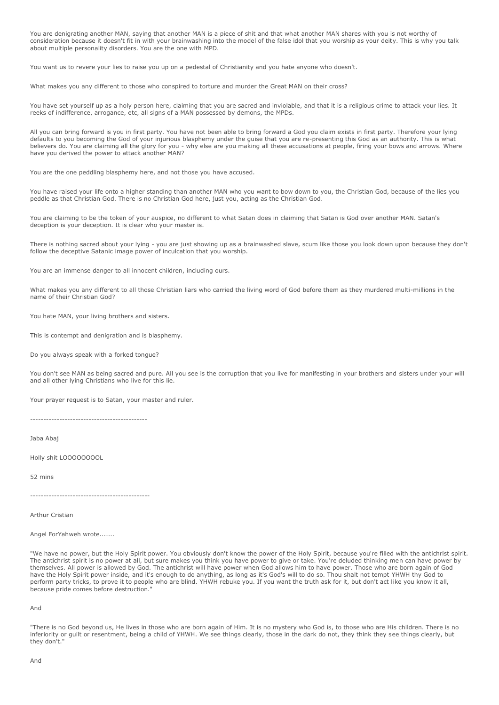You are denigrating another MAN, saying that another MAN is a piece of shit and that what another MAN shares with you is not worthy of consideration because it doesn't fit in with your brainwashing into the model of the false idol that you worship as your deity. This is why you talk about multiple personality disorders. You are the one with MPD.

You want us to revere your lies to raise you up on a pedestal of Christianity and you hate anyone who doesn't.

What makes you any different to those who conspired to torture and murder the Great MAN on their cross?

You have set yourself up as a holy person here, claiming that you are sacred and inviolable, and that it is a religious crime to attack your lies. It reeks of indifference, arrogance, etc, all signs of a MAN possessed by demons, the MPDs.

All you can bring forward is you in first party. You have not been able to bring forward a God you claim exists in first party. Therefore your lying defaults to you becoming the God of your injurious blasphemy under the guise that you are re-presenting this God as an authority. This is what believers do. You are claiming all the glory for you - why else are you making all these accusations at people, firing your bows and arrows. Where have you derived the power to attack another MAN?

You are the one peddling blasphemy here, and not those you have accused.

You have raised your life onto a higher standing than another MAN who you want to bow down to you, the Christian God, because of the lies you peddle as that Christian God. There is no Christian God here, just you, acting as the Christian God.

You are claiming to be the token of your auspice, no different to what Satan does in claiming that Satan is God over another MAN. Satan's deception is your deception. It is clear who your master is.

There is nothing sacred about your lying - you are just showing up as a brainwashed slave, scum like those you look down upon because they don't follow the deceptive Satanic image power of inculcation that you worship.

You are an immense danger to all innocent children, including ours.

What makes you any different to all those Christian liars who carried the living word of God before them as they murdered multi-millions in the name of their Christian God?

You hate MAN, your living brothers and sisters.

This is contempt and denigration and is blasphemy.

Do you always speak with a forked tongue?

You don't see MAN as being sacred and pure. All you see is the corruption that you live for manifesting in your brothers and sisters under your will and all other lying Christians who live for this lie.

Your prayer request is to Satan, your master and ruler.

--------------------------------------------

Jaba Abaj

Holly shit LOOOOOOOOL

52 mins

---------------------------------------------

Arthur Cristian

Angel ForYahweh wrote.......

"We have no power, but the Holy Spirit power. You obviously don't know the power of the Holy Spirit, because you're filled with the antichrist spirit. The antichrist spirit is no power at all, but sure makes you think you have power to give or take. You're deluded thinking men can have power by themselves. All power is allowed by God. The antichrist will have power when God allows him to have power. Those who are born again of God have the Holy Spirit power inside, and it's enough to do anything, as long as it's God's will to do so. Thou shalt not tempt YHWH thy God to perform party tricks, to prove it to people who are blind. YHWH rebuke you. If you want the truth ask for it, but don't act like you know it all, because pride comes before destruction."

And

"There is no God beyond us, He lives in those who are born again of Him. It is no mystery who God is, to those who are His children. There is no inferiority or guilt or resentment, being a child of YHWH. We see things clearly, those in the dark do not, they think they see things clearly, but they don't."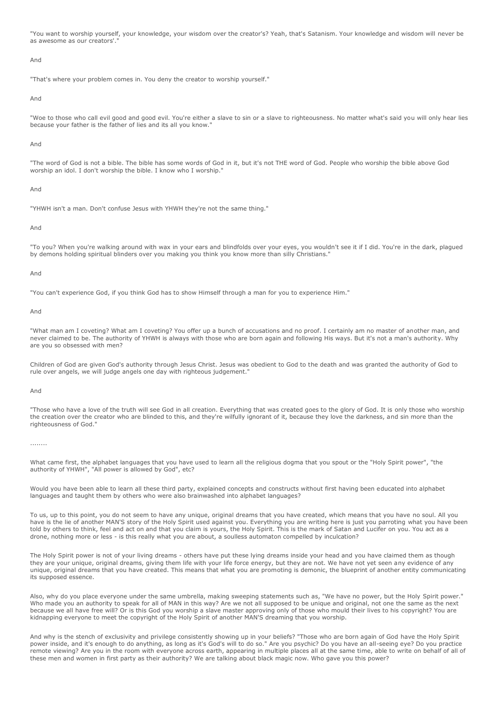"You want to worship yourself, your knowledge, your wisdom over the creator's? Yeah, that's Satanism. Your knowledge and wisdom will never be as awesome as our creators'.

#### And

"That's where your problem comes in. You deny the creator to worship yourself."

#### And

"Woe to those who call evil good and good evil. You're either a slave to sin or a slave to righteousness. No matter what's said you will only hear lies because your father is the father of lies and its all you know.

#### And

"The word of God is not a bible. The bible has some words of God in it, but it's not THE word of God. People who worship the bible above God worship an idol. I don't worship the bible. I know who I worship."

#### And

"YHWH isn't a man. Don't confuse Jesus with YHWH they're not the same thing."

#### And

"To you? When you're walking around with wax in your ears and blindfolds over your eyes, you wouldn't see it if I did. You're in the dark, plagued by demons holding spiritual blinders over you making you think you know more than silly Christians."

#### And

"You can't experience God, if you think God has to show Himself through a man for you to experience Him."

And

"What man am I coveting? What am I coveting? You offer up a bunch of accusations and no proof. I certainly am no master of another man, and never claimed to be. The authority of YHWH is always with those who are born again and following His ways. But it's not a man's authority. Why are you so obsessed with men?

Children of God are given God's authority through Jesus Christ. Jesus was obedient to God to the death and was granted the authority of God to rule over angels, we will judge angels one day with righteous judgement."

#### And

"Those who have a love of the truth will see God in all creation. Everything that was created goes to the glory of God. It is only those who worship the creation over the creator who are blinded to this, and they're wilfully ignorant of it, because they love the darkness, and sin more than the righteousness of God."

#### ........

What came first, the alphabet languages that you have used to learn all the religious dogma that you spout or the "Holy Spirit power", "the authority of YHWH", "All power is allowed by God", etc?

Would you have been able to learn all these third party, explained concepts and constructs without first having been educated into alphabet languages and taught them by others who were also brainwashed into alphabet languages?

To us, up to this point, you do not seem to have any unique, original dreams that you have created, which means that you have no soul. All you have is the lie of another MAN'S story of the Holy Spirit used against you. Everything you are writing here is just you parroting what you have been told by others to think, feel and act on and that you claim is yours, the Holy Spirit. This is the mark of Satan and Lucifer on you. You act as a drone, nothing more or less - is this really what you are about, a soulless automaton compelled by inculcation?

The Holy Spirit power is not of your living dreams - others have put these lying dreams inside your head and you have claimed them as though they are your unique, original dreams, giving them life with your life force energy, but they are not. We have not yet seen any evidence of any unique, original dreams that you have created. This means that what you are promoting is demonic, the blueprint of another entity communicating its supposed essence.

Also, why do you place everyone under the same umbrella, making sweeping statements such as, "We have no power, but the Holy Spirit power." Who made you an authority to speak for all of MAN in this way? Are we not all supposed to be unique and original, not one the same as the next because we all have free will? Or is this God you worship a slave master approving only of those who mould their lives to his copyright? You are kidnapping everyone to meet the copyright of the Holy Spirit of another MAN'S dreaming that you worship.

And why is the stench of exclusivity and privilege consistently showing up in your beliefs? "Those who are born again of God have the Holy Spirit power inside, and it's enough to do anything, as long as it's God's will to do so." Are you psychic? Do you have an all-seeing eye? Do you practice remote viewing? Are you in the room with everyone across earth, appearing in multiple places all at the same time, able to write on behalf of all of these men and women in first party as their authority? We are talking about black magic now. Who gave you this power?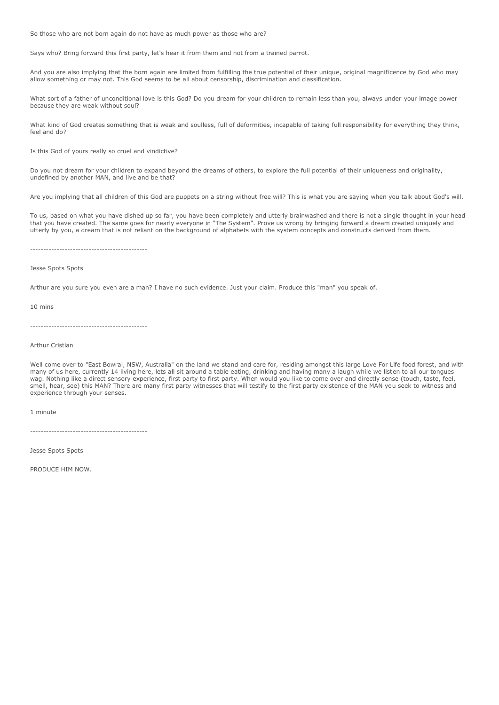So those who are not born again do not have as much power as those who are?

Says who? Bring forward this first party, let's hear it from them and not from a trained parrot.

And you are also implying that the born again are limited from fulfilling the true potential of their unique, original magnificence by God who may allow something or may not. This God seems to be all about censorship, discrimination and classification.

What sort of a father of unconditional love is this God? Do you dream for your children to remain less than you, always under your image power because they are weak without soul?

What kind of God creates something that is weak and soulless, full of deformities, incapable of taking full responsibility for everything they think, feel and do?

Is this God of yours really so cruel and vindictive?

Do you not dream for your children to expand beyond the dreams of others, to explore the full potential of their uniqueness and originality, undefined by another MAN, and live and be that?

Are you implying that all children of this God are puppets on a string without free will? This is what you are saying when you talk about God's will.

To us, based on what you have dished up so far, you have been completely and utterly brainwashed and there is not a single thought in your head that you have created. The same goes for nearly everyone in "The System". Prove us wrong by bringing forward a dream created uniquely and utterly by you, a dream that is not reliant on the background of alphabets with the system concepts and constructs derived from them.

--------------------------------------------

#### Jesse Spots Spots

Arthur are you sure you even are a man? I have no such evidence. Just your claim. Produce this "man" you speak of.

10 mins

--------------------------------------------

Arthur Cristian

Well come over to "East Bowral, NSW, Australia" on the land we stand and care for, residing amongst this large Love For Life food forest, and with many of us here, currently 14 living here, lets all sit around a table eating, drinking and having many a laugh while we listen to all our tongues wag. Nothing like a direct sensory experience, first party to first party. When would you like to come over and directly sense (touch, taste, feel, smell, hear, see) this MAN? There are many first party witnesses that will testify to the first party existence of the MAN you seek to witness and experience through your senses.

1 minute

--------------------------------------------

Jesse Spots Spots

PRODUCE HIM NOW.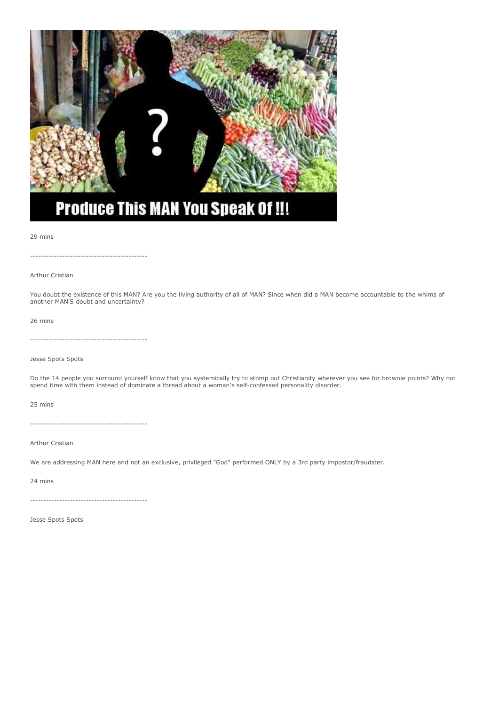

# **Produce This MAN You Speak Of !!!**

#### 29 mins

--------------------------------------------

Arthur Cristian

You doubt the existence of this MAN? Are you the living authority of all of MAN? Since when did a MAN become accountable to the whims of another MAN'S doubt and uncertainty?

#### 26 mins

--------------------------------------------

Jesse Spots Spots

Do the 14 people you surround yourself know that you systemically try to stomp out Christianity wherever you see for brownie points? Why not spend time with them instead of dominate a thread about a woman's self-confessed personality disorder.

25 mins

--------------------------------------------

Arthur Cristian

We are addressing MAN here and not an exclusive, privileged "God" performed ONLY by a 3rd party impostor/fraudster.

24 mins

--------------------------------------------

Jesse Spots Spots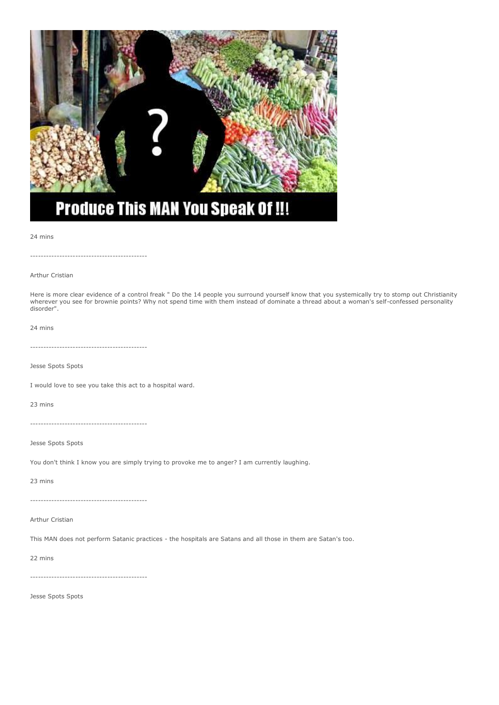

24 mins

--------------------------------------------

Arthur Cristian

Here is more clear evidence of a control freak " Do the 14 people you surround yourself know that you systemically try to stomp out Christianity wherever you see for brownie points? Why not spend time with them instead of dominate a thread about a woman's self-confessed personality disorder".

24 mins

--------------------------------------------

Jesse Spots Spots

I would love to see you take this act to a hospital ward.

23 mins

--------------------------------------------

Jesse Spots Spots

You don't think I know you are simply trying to provoke me to anger? I am currently laughing.

23 mins

--------------------------------------------

Arthur Cristian

This MAN does not perform Satanic practices - the hospitals are Satans and all those in them are Satan's too.

22 mins

--------------------------------------------

Jesse Spots Spots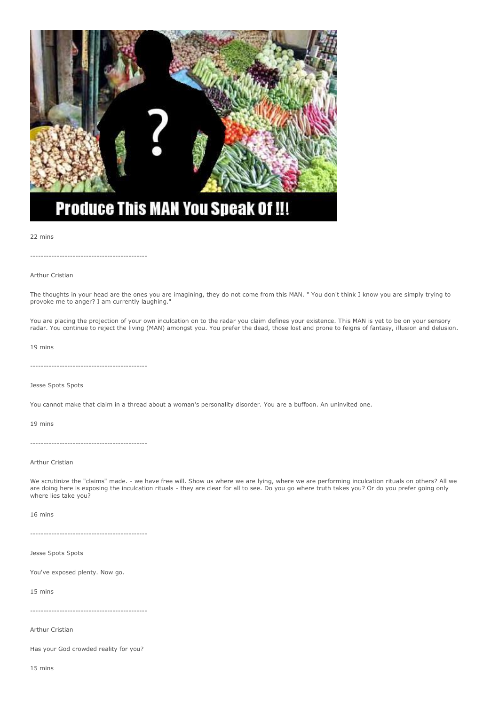

# **Produce This MAN You Speak Of !!!**

#### 22 mins

--------------------------------------------

#### Arthur Cristian

The thoughts in your head are the ones you are imagining, they do not come from this MAN. " You don't think I know you are simply trying to provoke me to anger? I am currently laughing.'

You are placing the projection of your own inculcation on to the radar you claim defines your existence. This MAN is yet to be on your sensory radar. You continue to reject the living (MAN) amongst you. You prefer the dead, those lost and prone to feigns of fantasy, illusion and delusion.

#### 19 mins

--------------------------------------------

Jesse Spots Spots

You cannot make that claim in a thread about a woman's personality disorder. You are a buffoon. An uninvited one.

19 mins

--------------------------------------------

Arthur Cristian

We scrutinize the "claims" made. - we have free will. Show us where we are lying, where we are performing inculcation rituals on others? All we are doing here is exposing the inculcation rituals - they are clear for all to see. Do you go where truth takes you? Or do you prefer going only where lies take you?

16 mins

--------------------------------------------

Jesse Spots Spots

You've exposed plenty. Now go.

15 mins

--------------------------------------------

Arthur Cristian

Has your God crowded reality for you?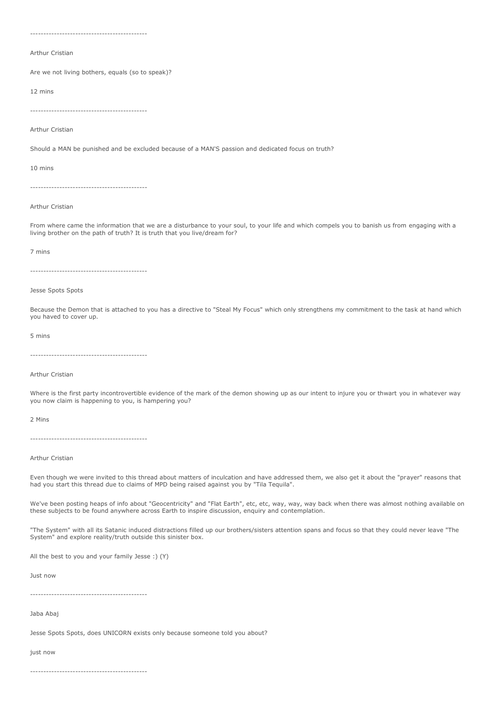--------------------------------------------

Arthur Cristian

Are we not living bothers, equals (so to speak)?

12 mins

--------------------------------------------

Arthur Cristian

Should a MAN be punished and be excluded because of a MAN'S passion and dedicated focus on truth?

10 mins

--------------------------------------------

Arthur Cristian

From where came the information that we are a disturbance to your soul, to your life and which compels you to banish us from engaging with a living brother on the path of truth? It is truth that you live/dream for?

#### 7 mins

--------------------------------------------

#### Jesse Spots Spots

Because the Demon that is attached to you has a directive to "Steal My Focus" which only strengthens my commitment to the task at hand which you haved to cover up.

#### 5 mins

--------------------------------------------

#### Arthur Cristian

Where is the first party incontrovertible evidence of the mark of the demon showing up as our intent to injure you or thwart you in whatever way you now claim is happening to you, is hampering you?

2 Mins

--------------------------------------------

#### Arthur Cristian

Even though we were invited to this thread about matters of inculcation and have addressed them, we also get it about the "prayer" reasons that had you start this thread due to claims of MPD being raised against you by "Tila Tequila".

We've been posting heaps of info about "Geocentricity" and "Flat Earth", etc, etc, way, way, way back when there was almost nothing available on these subjects to be found anywhere across Earth to inspire discussion, enquiry and contemplation.

"The System" with all its Satanic induced distractions filled up our brothers/sisters attention spans and focus so that they could never leave "The System" and explore reality/truth outside this sinister box.

All the best to you and your family Jesse :) (Y)

Just now

--------------------------------------------

Jaba Abaj

Jesse Spots Spots, does UNICORN exists only because someone told you about?

just now

--------------------------------------------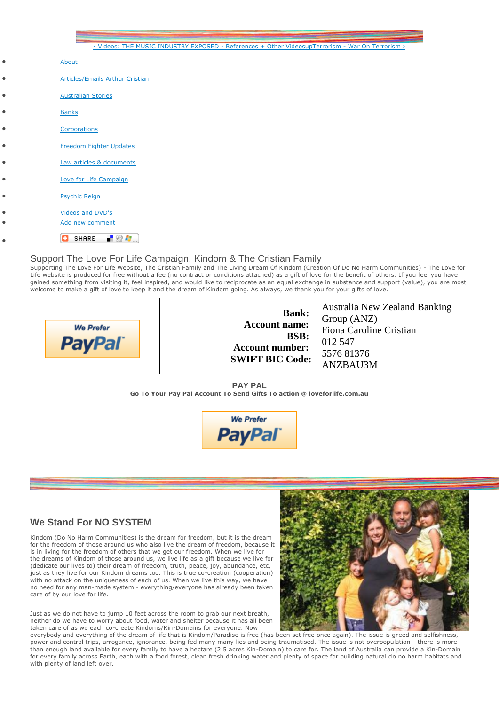|           | < Videos: THE MUSIC INDUSTRY EXPOSED - References + Other VideosupTerrorism - War On Terrorism > |
|-----------|--------------------------------------------------------------------------------------------------|
| ۰         | About                                                                                            |
| ۰         | <b>Articles/Emails Arthur Cristian</b>                                                           |
| ۰         | <b>Australian Stories</b>                                                                        |
|           | <b>Banks</b>                                                                                     |
|           | Corporations                                                                                     |
| ٥         | Freedom Fighter Updates                                                                          |
| $\bullet$ | Law articles & documents                                                                         |
| $\bullet$ | Love for Life Campaign                                                                           |
| $\bullet$ | <b>Psychic Reign</b>                                                                             |
| ò         | Videos and DVD's                                                                                 |
|           | Add new comment                                                                                  |
|           | ■验考<br>SHARE<br>o                                                                                |

# Support The Love For Life Campaign, Kindom & The Cristian Family

Supporting The Love For Life Website, The Cristian Family and The Living Dream Of Kindom (Creation Of Do No Harm Communities) - The Love for Life website is produced for free without a fee (no contract or conditions attached) as a gift of love for the benefit of others. If you feel you have gained something from visiting it, feel inspired, and would like to reciprocate as an equal exchange in substance and support (value), you are most welcome to make a gift of love to keep it and the dream of Kindom going. As always, we thank you for your gifts of love.



**Bank: Account name: BSB: Account number: SWIFT BIC Code:** Australia New Zealand Banking Group (ANZ) Fiona Caroline Cristian 012 547 5576 81376 ANZBAU3M

**PAY PAL Go To Your Pay Pal Account To Send Gifts To action @ loveforlife.com.au**



# **We Stand For NO SYSTEM**

Kindom (Do No Harm Communities) is the dream for freedom, but it is the dream for the freedom of those around us who also live the dream of freedom, because it is in living for the freedom of others that we get our freedom. When we live for the dreams of Kindom of those around us, we live life as a gift because we live for (dedicate our lives to) their dream of freedom, truth, peace, joy, abundance, etc, just as they live for our Kindom dreams too. This is true co-creation (cooperation) with no attack on the uniqueness of each of us. When we live this way, we have no need for any man-made system - everything/everyone has already been taken care of by our love for life.

Just as we do not have to jump 10 feet across the room to grab our next breath, neither do we have to worry about food, water and shelter because it has all been taken care of as we each co-create Kindoms/Kin-Domains for everyone. Now



everybody and everything of the dream of life that is Kindom/Paradise is free (has been set free once again). The issue is greed and selfishness, power and control trips, arrogance, ignorance, being fed many many lies and being traumatised. The issue is not overpopulation - there is more than enough land available for every family to have a hectare (2.5 acres Kin-Domain) to care for. The land of Australia can provide a Kin-Domain for every family across Earth, each with a food forest, clean fresh drinking water and plenty of space for building natural do no harm habitats and with plenty of land left over.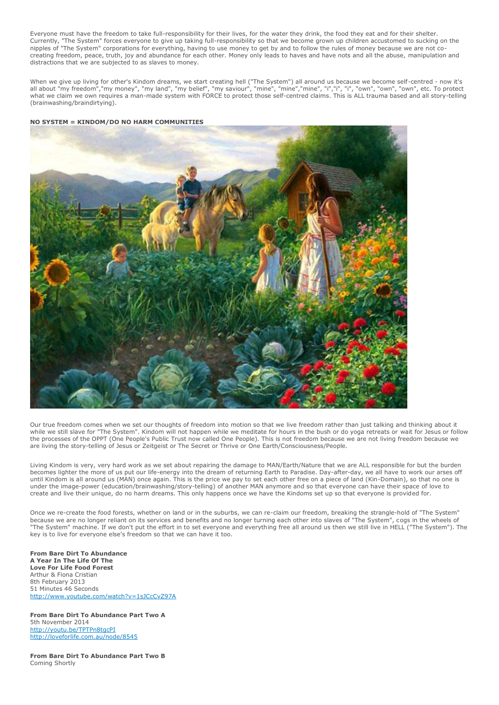Everyone must have the freedom to take full-responsibility for their lives, for the water they drink, the food they eat and for their shelter. Currently, "The System" forces everyone to give up taking full-responsibility so that we become grown up children accustomed to sucking on the nipples of "The System" corporations for everything, having to use money to get by and to follow the rules of money because we are not cocreating freedom, peace, truth, joy and abundance for each other. Money only leads to haves and have nots and all the abuse, manipulation and distractions that we are subjected to as slaves to money.

When we give up living for other's Kindom dreams, we start creating hell ("The System") all around us because we become self-centred - now it's all about "my freedom","my money", "my land", "my belief", "my saviour", "mine", "mine","mine", "i","i", "i", "own", "own", "own", etc. To protect what we claim we own requires a man-made system with FORCE to protect those self-centred claims. This is ALL trauma based and all story-telling (brainwashing/braindirtying).

#### **NO SYSTEM = KINDOM/DO NO HARM COMMUNITIES**



Our true freedom comes when we set our thoughts of freedom into motion so that we live freedom rather than just talking and thinking about it while we still slave for "The System". Kindom will not happen while we meditate for hours in the bush or do yoga retreats or wait for Jesus or follow the processes of the OPPT (One People's Public Trust now called One People). This is not freedom because we are not living freedom because we are living the story-telling of Jesus or Zeitgeist or The Secret or Thrive or One Earth/Consciousness/People.

Living Kindom is very, very hard work as we set about repairing the damage to MAN/Earth/Nature that we are ALL responsible for but the burden becomes lighter the more of us put our life-energy into the dream of returning Earth to Paradise. Day-after-day, we all have to work our arses off until Kindom is all around us (MAN) once again. This is the price we pay to set each other free on a piece of land (Kin-Domain), so that no one is under the image-power (education/brainwashing/story-telling) of another MAN anymore and so that everyone can have their space of love to create and live their unique, do no harm dreams. This only happens once we have the Kindoms set up so that everyone is provided for.

Once we re-create the food forests, whether on land or in the suburbs, we can re-claim our freedom, breaking the strangle-hold of "The System" because we are no longer reliant on its services and benefits and no longer turning each other into slaves of "The System", cogs in the wheels of "The System" machine. If we don't put the effort in to set everyone and everything free all around us then we still live in HELL ("The System"). The key is to live for everyone else's freedom so that we can have it too.

**From Bare Dirt To Abundance A Year In The Life Of The Love For Life Food Forest** Arthur & Fiona Cristian 8th February 2013 51 Minutes 46 Seconds <http://www.youtube.com/watch?v=1sJCcCvZ97A>

**From Bare Dirt To Abundance Part Two A** 5th November 2014 <http://youtu.be/TPTPn8tgcPI> <http://loveforlife.com.au/node/8545>

**From Bare Dirt To Abundance Part Two B** Coming Shortly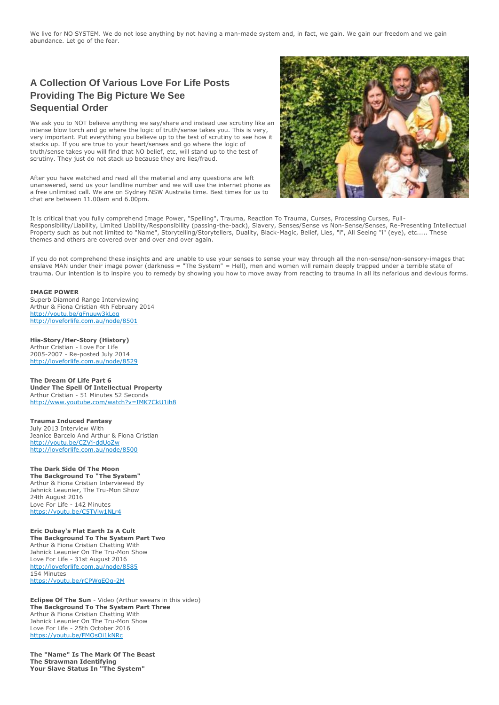We live for NO SYSTEM. We do not lose anything by not having a man-made system and, in fact, we gain. We gain our freedom and we gain abundance. Let go of the fear.

# **A Collection Of Various Love For Life Posts Providing The Big Picture We See Sequential Order**

We ask you to NOT believe anything we say/share and instead use scrutiny like an intense blow torch and go where the logic of truth/sense takes you. This is very, very important. Put everything you believe up to the test of scrutiny to see how it stacks up. If you are true to your heart/senses and go where the logic of truth/sense takes you will find that NO belief, etc, will stand up to the test of scrutiny. They just do not stack up because they are lies/fraud.

After you have watched and read all the material and any questions are left unanswered, send us your landline number and we will use the internet phone as a free unlimited call. We are on Sydney NSW Australia time. Best times for us to chat are between 11.00am and 6.00pm.



It is critical that you fully comprehend Image Power, "Spelling", Trauma, Reaction To Trauma, Curses, Processing Curses, Full-Responsibility/Liability, Limited Liability/Responsibility (passing-the-back), Slavery, Senses/Sense vs Non-Sense/Senses, Re-Presenting Intellectual Property such as but not limited to "Name", Storytelling/Storytellers, Duality, Black-Magic, Belief, Lies, "i", All Seeing "i" (eye), etc..... These themes and others are covered over and over and over again.

If you do not comprehend these insights and are unable to use your senses to sense your way through all the non-sense/non-sensory-images that enslave MAN under their image power (darkness = "The System" = Hell), men and women will remain deeply trapped under a terrible state of trauma. Our intention is to inspire you to remedy by showing you how to move away from reacting to trauma in all its nefarious and devious forms.

#### **IMAGE POWER**

Superb Diamond Range Interviewing Arthur & Fiona Cristian 4th February 2014 <http://youtu.be/qFnuuw3kLog> <http://loveforlife.com.au/node/8501>

**His-Story/Her-Story (History)** Arthur Cristian - Love For Life 2005-2007 - Re-posted July 2014 <http://loveforlife.com.au/node/8529>

**The Dream Of Life Part 6 Under The Spell Of Intellectual Property** Arthur Cristian - 51 Minutes 52 Seconds <http://www.youtube.com/watch?v=IMK7CkU1ih8>

**Trauma Induced Fantasy** July 2013 Interview With Jeanice Barcelo And Arthur & Fiona Cristian <http://youtu.be/CZVj-ddUoZw> <http://loveforlife.com.au/node/8500>

**The Dark Side Of The Moon The Background To "The System"** Arthur & Fiona Cristian Interviewed By Jahnick Leaunier, The Tru-Mon Show 24th August 2016 Love For Life - 142 Minutes <https://youtu.be/C5TViw1NLr4>

**Eric Dubay's Flat Earth Is A Cult The Background To The System Part Two** Arthur & Fiona Cristian Chatting With Jahnick Leaunier On The Tru-Mon Show Love For Life - 31st August 2016 <http://loveforlife.com.au/node/8585> 154 Minutes <https://youtu.be/rCPWgEQg-2M>

**Eclipse Of The Sun** - Video (Arthur swears in this video) **The Background To The System Part Three** Arthur & Fiona Cristian Chatting With Jahnick Leaunier On The Tru-Mon Show Love For Life - 25th October 2016 <https://youtu.be/FMOsOi1kNRc>

**The "Name" Is The Mark Of The Beast The Strawman Identifying Your Slave Status In "The System"**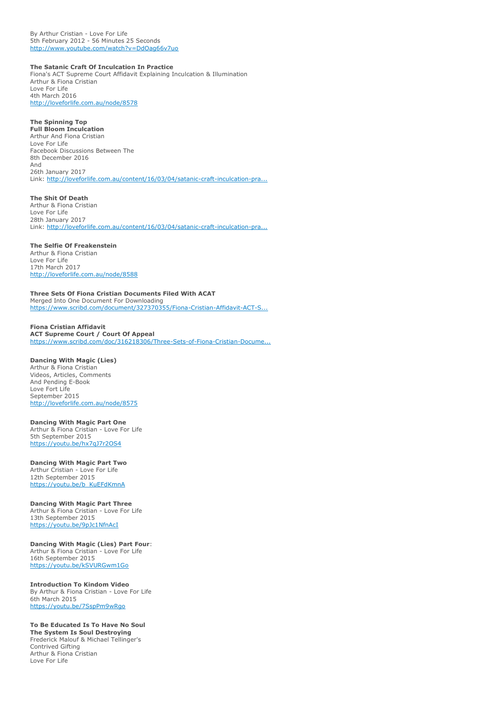By Arthur Cristian - Love For Life 5th February 2012 - 56 Minutes 25 Seconds <http://www.youtube.com/watch?v=DdOag66v7uo>

#### **The Satanic Craft Of Inculcation In Practice**

Fiona's ACT Supreme Court Affidavit Explaining Inculcation & Illumination Arthur & Fiona Cristian Love For Life 4th March 2016

<http://loveforlife.com.au/node/8578>

# **The Spinning Top**

**Full Bloom Inculcation** Arthur And Fiona Cristian Love For Life Facebook Discussions Between The 8th December 2016 And 26th January 2017 Link: [http://loveforlife.com.au/content/16/03/04/satanic-craft-inculcation-pra...](http://loveforlife.com.au/content/16/03/04/satanic-craft-inculcation-practise-arthur-cristian-love-life-4th-march-2016#comment-9508)

**The Shit Of Death**

Arthur & Fiona Cristian Love For Life 28th January 2017 Link: [http://loveforlife.com.au/content/16/03/04/satanic-craft-inculcation-pra...](http://loveforlife.com.au/content/16/03/04/satanic-craft-inculcation-practise-arthur-cristian-love-life-4th-march-2016#comment-9565)

#### **The Selfie Of Freakenstein**

Arthur & Fiona Cristian Love For Life 17th March 2017 <http://loveforlife.com.au/node/8588>

**Three Sets Of Fiona Cristian Documents Filed With ACAT** Merged Into One Document For Downloading [https://www.scribd.com/document/327370355/Fiona-Cristian-Affidavit-ACT-S...](https://www.scribd.com/document/327370355/Fiona-Cristian-Affidavit-ACT-Supreme-Court-Court-Of-Appeal-l2th-October-2016#from_embed)

# **Fiona Cristian Affidavit**

**ACT Supreme Court / Court Of Appeal** [https://www.scribd.com/doc/316218306/Three-Sets-of-Fiona-Cristian-Docume...](https://www.scribd.com/doc/316218306/Three-Sets-of-Fiona-Cristian-Documents-Filed-With-ACAT)

#### **Dancing With Magic (Lies)**

Arthur & Fiona Cristian Videos, Articles, Comments And Pending E-Book Love Fort Life September 2015 <http://loveforlife.com.au/node/8575>

#### **Dancing With Magic Part One**

Arthur & Fiona Cristian - Love For Life 5th September 2015 <https://youtu.be/hx7qJ7r2OS4>

#### **Dancing With Magic Part Two** Arthur Cristian - Love For Life 12th September 2015

[https://youtu.be/b\\_KuEFdKmnA](https://youtu.be/b_KuEFdKmnA)

#### **Dancing With Magic Part Three**

Arthur & Fiona Cristian - Love For Life 13th September 2015 <https://youtu.be/9pJc1NfnAcI>

# **Dancing With Magic (Lies) Part Four**:

Arthur & Fiona Cristian - Love For Life 16th September 2015 <https://youtu.be/kSVURGwm1Go>

#### **Introduction To Kindom Video**

By Arthur & Fiona Cristian - Love For Life 6th March 2015 <https://youtu.be/7SspPm9wRgo>

#### **To Be Educated Is To Have No Soul**

**The System Is Soul Destroying** Frederick Malouf & Michael Tellinger's Contrived Gifting Arthur & Fiona Cristian Love For Life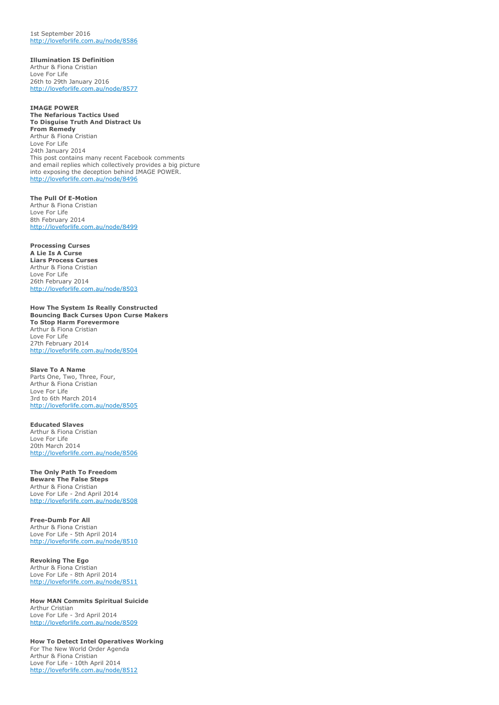1st September 2016 <http://loveforlife.com.au/node/8586>

**Illumination IS Definition** Arthur & Fiona Cristian Love For Life 26th to 29th January 2016 <http://loveforlife.com.au/node/8577>

**IMAGE POWER The Nefarious Tactics Used To Disguise Truth And Distract Us From Remedy** Arthur & Fiona Cristian Love For Life 24th January 2014 This post contains many recent Facebook comments and email replies which collectively provides a big picture into exposing the deception behind IMAGE POWER. <http://loveforlife.com.au/node/8496>

**The Pull Of E-Motion** Arthur & Fiona Cristian Love For Life 8th February 2014 <http://loveforlife.com.au/node/8499>

**Processing Curses A Lie Is A Curse Liars Process Curses** Arthur & Fiona Cristian Love For Life 26th February 2014 <http://loveforlife.com.au/node/8503>

**How The System Is Really Constructed Bouncing Back Curses Upon Curse Makers To Stop Harm Forevermore** Arthur & Fiona Cristian Love For Life 27th February 2014 <http://loveforlife.com.au/node/8504>

**Slave To A Name** Parts One, Two, Three, Four, Arthur & Fiona Cristian Love For Life 3rd to 6th March 2014 <http://loveforlife.com.au/node/8505>

**Educated Slaves** Arthur & Fiona Cristian Love For Life 20th March 2014 <http://loveforlife.com.au/node/8506>

**The Only Path To Freedom Beware The False Steps** Arthur & Fiona Cristian Love For Life - 2nd April 2014 <http://loveforlife.com.au/node/8508>

**Free-Dumb For All** Arthur & Fiona Cristian Love For Life - 5th April 2014 <http://loveforlife.com.au/node/8510>

**Revoking The Ego** Arthur & Fiona Cristian Love For Life - 8th April 2014 <http://loveforlife.com.au/node/8511>

**How MAN Commits Spiritual Suicide** Arthur Cristian Love For Life - 3rd April 2014 <http://loveforlife.com.au/node/8509>

**How To Detect Intel Operatives Working** For The New World Order Agenda Arthur & Fiona Cristian Love For Life - 10th April 2014 <http://loveforlife.com.au/node/8512>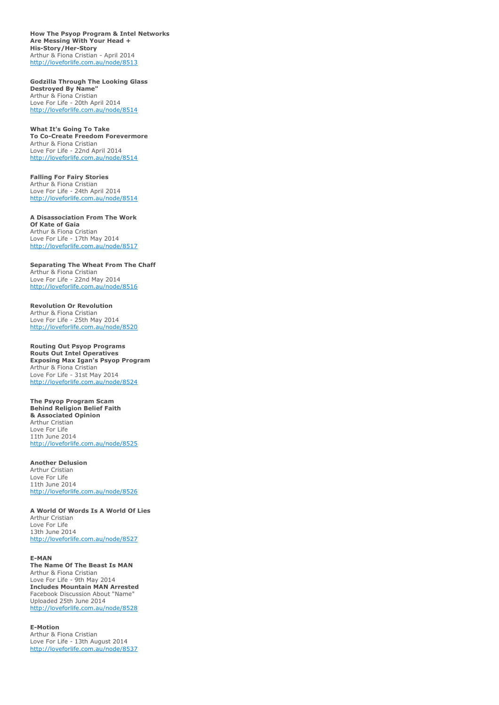**How The Psyop Program & Intel Networks Are Messing With Your Head + His-Story/Her-Story** Arthur & Fiona Cristian - April 2014 <http://loveforlife.com.au/node/8513>

**Godzilla Through The Looking Glass Destroyed By Name"** Arthur & Fiona Cristian Love For Life - 20th April 2014 <http://loveforlife.com.au/node/8514>

**What It's Going To Take To Co-Create Freedom Forevermore** Arthur & Fiona Cristian Love For Life - 22nd April 2014 <http://loveforlife.com.au/node/8514>

**Falling For Fairy Stories** Arthur & Fiona Cristian Love For Life - 24th April 2014 <http://loveforlife.com.au/node/8514>

**A Disassociation From The Work Of Kate of Gaia** Arthur & Fiona Cristian Love For Life - 17th May 2014 <http://loveforlife.com.au/node/8517>

**Separating The Wheat From The Chaff** Arthur & Fiona Cristian Love For Life - 22nd May 2014 <http://loveforlife.com.au/node/8516>

**Revolution Or Revolution** Arthur & Fiona Cristian Love For Life - 25th May 2014 <http://loveforlife.com.au/node/8520>

**Routing Out Psyop Programs Routs Out Intel Operatives Exposing Max Igan's Psyop Program** Arthur & Fiona Cristian Love For Life - 31st May 2014 <http://loveforlife.com.au/node/8524>

**The Psyop Program Scam Behind Religion Belief Faith & Associated Opinion** Arthur Cristian Love For Life 11th June 2014 <http://loveforlife.com.au/node/8525>

**Another Delusion** Arthur Cristian Love For Life 11th June 2014 <http://loveforlife.com.au/node/8526>

**A World Of Words Is A World Of Lies** Arthur Cristian Love For Life 13th June 2014 <http://loveforlife.com.au/node/8527>

#### **E-MAN**

**The Name Of The Beast Is MAN** Arthur & Fiona Cristian Love For Life - 9th May 2014 **Includes Mountain MAN Arrested** Facebook Discussion About "Name" Uploaded 25th June 2014 <http://loveforlife.com.au/node/8528>

**E-Motion** Arthur & Fiona Cristian Love For Life - 13th August 2014 <http://loveforlife.com.au/node/8537>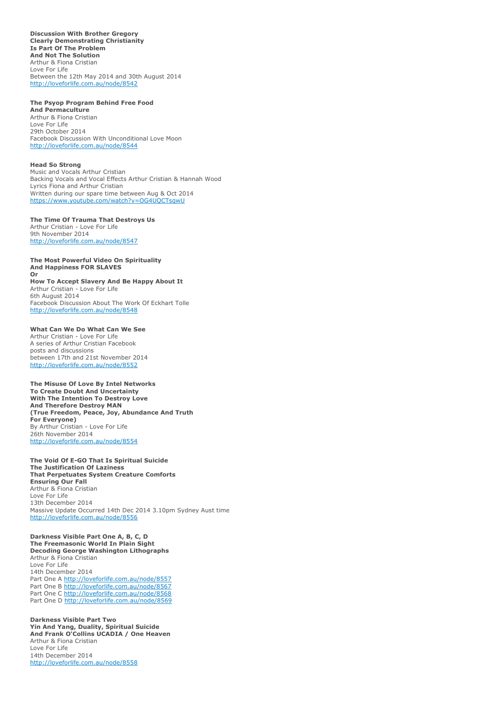**Discussion With Brother Gregory Clearly Demonstrating Christianity Is Part Of The Problem And Not The Solution** Arthur & Fiona Cristian Love For Life Between the 12th May 2014 and 30th August 2014 <http://loveforlife.com.au/node/8542>

#### **The Psyop Program Behind Free Food**

**And Permaculture** Arthur & Fiona Cristian Love For Life 29th October 2014 Facebook Discussion With Unconditional Love Moon <http://loveforlife.com.au/node/8544>

#### **Head So Strong**

Music and Vocals Arthur Cristian Backing Vocals and Vocal Effects Arthur Cristian & Hannah Wood Lyrics Fiona and Arthur Cristian Written during our spare time between Aug & Oct 2014 <https://www.youtube.com/watch?v=OG4UQCTsqwU>

#### **The Time Of Trauma That Destroys Us** Arthur Cristian - Love For Life

9th November 2014 <http://loveforlife.com.au/node/8547>

#### **The Most Powerful Video On Spirituality And Happiness FOR SLAVES Or**

#### **How To Accept Slavery And Be Happy About It** Arthur Cristian - Love For Life

6th August 2014 Facebook Discussion About The Work Of Eckhart Tolle <http://loveforlife.com.au/node/8548>

#### **What Can We Do What Can We See**

Arthur Cristian - Love For Life A series of Arthur Cristian Facebook posts and discussions between 17th and 21st November 2014 <http://loveforlife.com.au/node/8552>

#### **The Misuse Of Love By Intel Networks To Create Doubt And Uncertainty With The Intention To Destroy Love And Therefore Destroy MAN (True Freedom, Peace, Joy, Abundance And Truth For Everyone)** By Arthur Cristian - Love For Life 26th November 2014 <http://loveforlife.com.au/node/8554>

**The Void Of E-GO That Is Spiritual Suicide The Justification Of Laziness That Perpetuates System Creature Comforts Ensuring Our Fall** Arthur & Fiona Cristian Love For Life 13th December 2014 Massive Update Occurred 14th Dec 2014 3.10pm Sydney Aust time <http://loveforlife.com.au/node/8556>

#### **Darkness Visible Part One A, B, C, D The Freemasonic World In Plain Sight Decoding George Washington Lithographs** Arthur & Fiona Cristian

Love For Life 14th December 2014 Part One A <http://loveforlife.com.au/node/8557> Part One B <http://loveforlife.com.au/node/8567> Part One C <http://loveforlife.com.au/node/8568> Part One D <http://loveforlife.com.au/node/8569>

#### **Darkness Visible Part Two Yin And Yang, Duality, Spiritual Suicide And Frank O'Collins UCADIA / One Heaven** Arthur & Fiona Cristian Love For Life 14th December 2014 <http://loveforlife.com.au/node/8558>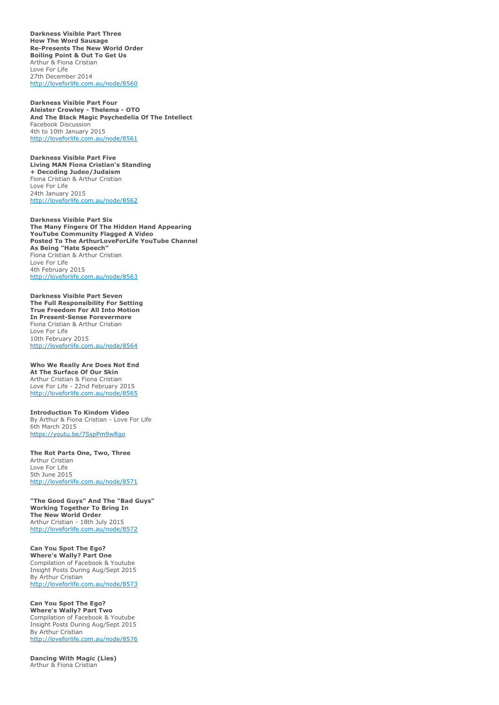**Darkness Visible Part Three How The Word Sausage Re-Presents The New World Order Boiling Point & Out To Get Us** Arthur & Fiona Cristian Love For Life 27th December 2014 <http://loveforlife.com.au/node/8560>

**Darkness Visible Part Four Aleister Crowley - Thelema - OTO And The Black Magic Psychedelia Of The Intellect** Facebook Discussion 4th to 10th January 2015 <http://loveforlife.com.au/node/8561>

**Darkness Visible Part Five Living MAN Fiona Cristian's Standing + Decoding Judeo/Judaism** Fiona Cristian & Arthur Cristian Love For Life 24th January 2015 <http://loveforlife.com.au/node/8562>

**Darkness Visible Part Six The Many Fingers Of The Hidden Hand Appearing YouTube Community Flagged A Video Posted To The ArthurLoveForLife YouTube Channel As Being "Hate Speech"** Fiona Cristian & Arthur Cristian Love For Life 4th February 2015 <http://loveforlife.com.au/node/8563>

**Darkness Visible Part Seven The Full Responsibility For Setting True Freedom For All Into Motion In Present-Sense Forevermore** Fiona Cristian & Arthur Cristian Love For Life 10th February 2015 <http://loveforlife.com.au/node/8564>

**Who We Really Are Does Not End At The Surface Of Our Skin** Arthur Cristian & Fiona Cristian Love For Life - 22nd February 2015 <http://loveforlife.com.au/node/8565>

**Introduction To Kindom Video** By Arthur & Fiona Cristian - Love For Life 6th March 2015 <https://youtu.be/7SspPm9wRgo>

**The Rot Parts One, Two, Three** Arthur Cristian Love For Life 5th June 2015 <http://loveforlife.com.au/node/8571>

**"The Good Guys" And The "Bad Guys" Working Together To Bring In The New World Order** Arthur Cristian - 18th July 2015 <http://loveforlife.com.au/node/8572>

**Can You Spot The Ego? Where's Wally? Part One** Compilation of Facebook & Youtube Insight Posts During Aug/Sept 2015 By Arthur Cristian <http://loveforlife.com.au/node/8573>

**Can You Spot The Ego? Where's Wally? Part Two** Compilation of Facebook & Youtube Insight Posts During Aug/Sept 2015 By Arthur Cristian <http://loveforlife.com.au/node/8576>

**Dancing With Magic (Lies)** Arthur & Fiona Cristian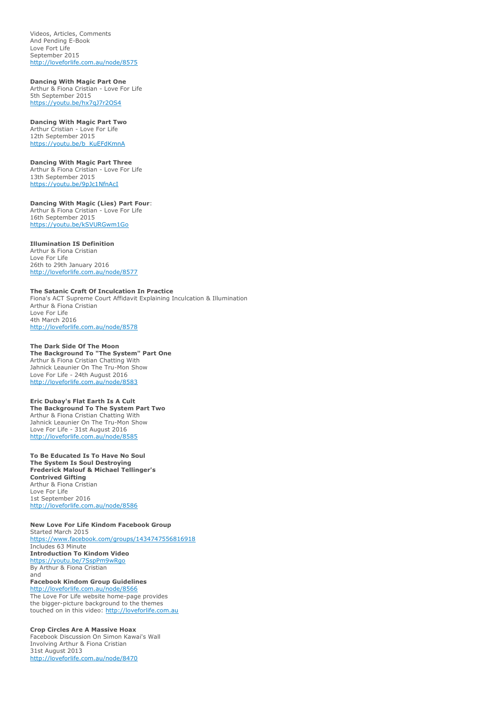Videos, Articles, Comments And Pending E-Book Love Fort Life September 2015 <http://loveforlife.com.au/node/8575>

**Dancing With Magic Part One** Arthur & Fiona Cristian - Love For Life 5th September 2015

<https://youtu.be/hx7qJ7r2OS4>

**Dancing With Magic Part Two** Arthur Cristian - Love For Life 12th September 2015 [https://youtu.be/b\\_KuEFdKmnA](https://youtu.be/b_KuEFdKmnA)

**Dancing With Magic Part Three** Arthur & Fiona Cristian - Love For Life 13th September 2015 <https://youtu.be/9pJc1NfnAcI>

**Dancing With Magic (Lies) Part Four**: Arthur & Fiona Cristian - Love For Life 16th September 2015 <https://youtu.be/kSVURGwm1Go>

**Illumination IS Definition**

Arthur & Fiona Cristian Love For Life 26th to 29th January 2016 <http://loveforlife.com.au/node/8577>

**The Satanic Craft Of Inculcation In Practice** Fiona's ACT Supreme Court Affidavit Explaining Inculcation & Illumination Arthur & Fiona Cristian Love For Life 4th March 2016 <http://loveforlife.com.au/node/8578>

**The Dark Side Of The Moon The Background To "The System" Part One** Arthur & Fiona Cristian Chatting With Jahnick Leaunier On The Tru-Mon Show Love For Life - 24th August 2016 <http://loveforlife.com.au/node/8583>

**Eric Dubay's Flat Earth Is A Cult The Background To The System Part Two** Arthur & Fiona Cristian Chatting With Jahnick Leaunier On The Tru-Mon Show Love For Life - 31st August 2016 <http://loveforlife.com.au/node/8585>

**To Be Educated Is To Have No Soul The System Is Soul Destroying Frederick Malouf & Michael Tellinger's Contrived Gifting** Arthur & Fiona Cristian Love For Life 1st September 2016 <http://loveforlife.com.au/node/8586>

**New Love For Life Kindom Facebook Group** Started March 2015 <https://www.facebook.com/groups/1434747556816918> Includes 63 Minute **Introduction To Kindom Video** <https://youtu.be/7SspPm9wRgo> By Arthur & Fiona Cristian and **Facebook Kindom Group Guidelines**

<http://loveforlife.com.au/node/8566> The Love For Life website home-page provides the bigger-picture background to the themes touched on in this video: [http://loveforlife.com.au](http://loveforlife.com.au/)

**Crop Circles Are A Massive Hoax** Facebook Discussion On Simon Kawai's Wall Involving Arthur & Fiona Cristian 31st August 2013 <http://loveforlife.com.au/node/8470>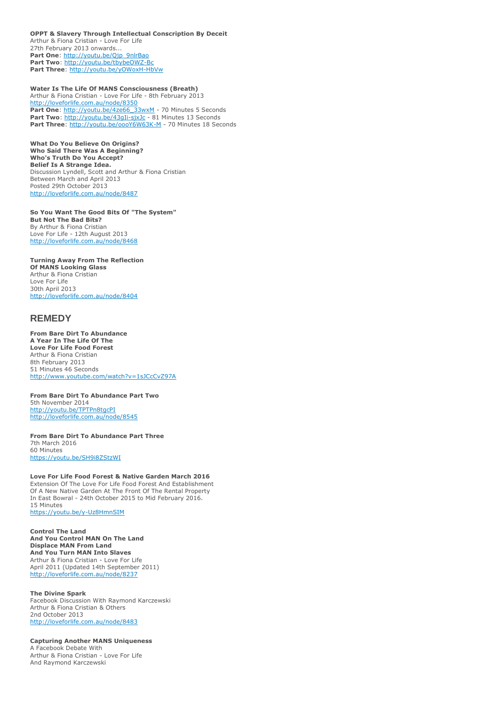**OPPT & Slavery Through Intellectual Conscription By Deceit** Arthur & Fiona Cristian - Love For Life 27th February 2013 onwards... Part One: [http://youtu.be/Qjp\\_9nlrBao](http://youtu.be/Qjp_9nlrBao) **Part Two**: <http://youtu.be/tbybeOWZ-Bc> **Part Three**: <http://youtu.be/yOWoxH-HbVw>

**Water Is The Life Of MANS Consciousness (Breath)** Arthur & Fiona Cristian - Love For Life - 8th February 2013 <http://loveforlife.com.au/node/8350> Part One: [http://youtu.be/4ze66\\_33wxM](http://youtu.be/4ze66_33wxM) - 70 Minutes 5 Seconds Part Two: <http://youtu.be/43gIi-sjxJc> - 81 Minutes 13 Seconds Part Three: <http://youtu.be/oooY6W63K-M> - 70 Minutes 18 Seconds

**What Do You Believe On Origins? Who Said There Was A Beginning? Who's Truth Do You Accept? Belief Is A Strange Idea.** Discussion Lyndell, Scott and Arthur & Fiona Cristian Between March and April 2013 Posted 29th October 2013 <http://loveforlife.com.au/node/8487>

**So You Want The Good Bits Of "The System" But Not The Bad Bits?** By Arthur & Fiona Cristian Love For Life - 12th August 2013 <http://loveforlife.com.au/node/8468>

**Turning Away From The Reflection Of MANS Looking Glass** Arthur & Fiona Cristian Love For Life 30th April 2013 <http://loveforlife.com.au/node/8404>

# **REMEDY**

**From Bare Dirt To Abundance A Year In The Life Of The Love For Life Food Forest** Arthur & Fiona Cristian 8th February 2013 51 Minutes 46 Seconds <http://www.youtube.com/watch?v=1sJCcCvZ97A>

**From Bare Dirt To Abundance Part Two** 5th November 2014 <http://youtu.be/TPTPn8tgcPI> <http://loveforlife.com.au/node/8545>

**From Bare Dirt To Abundance Part Three** 7th March 2016 60 Minutes <https://youtu.be/SH9i8ZStzWI>

**Love For Life Food Forest & Native Garden March 2016** Extension Of The Love For Life Food Forest And Establishment Of A New Native Garden At The Front Of The Rental Property In East Bowral - 24th October 2015 to Mid February 2016. 15 Minutes <https://youtu.be/y-Uz8HmnSIM>

**Control The Land And You Control MAN On The Land Displace MAN From Land And You Turn MAN Into Slaves** Arthur & Fiona Cristian - Love For Life April 2011 (Updated 14th September 2011) <http://loveforlife.com.au/node/8237>

**The Divine Spark** Facebook Discussion With Raymond Karczewski Arthur & Fiona Cristian & Others 2nd October 2013 <http://loveforlife.com.au/node/8483>

**Capturing Another MANS Uniqueness** A Facebook Debate With Arthur & Fiona Cristian - Love For Life And Raymond Karczewski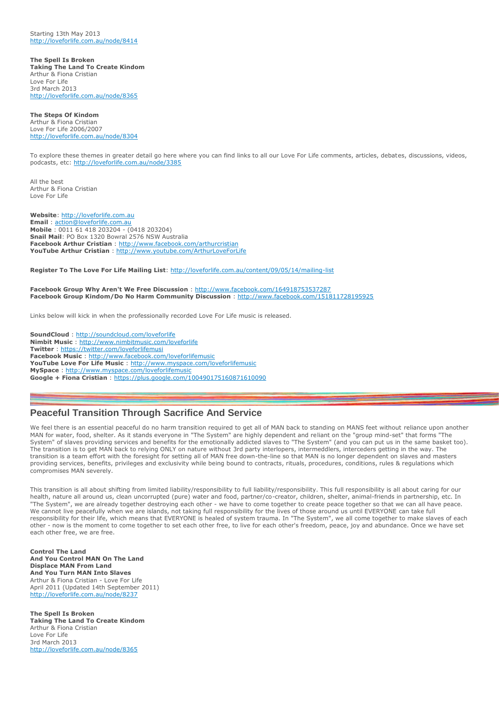Starting 13th May 2013 <http://loveforlife.com.au/node/8414>

**The Spell Is Broken Taking The Land To Create Kindom** Arthur & Fiona Cristian Love For Life 3rd March 2013 <http://loveforlife.com.au/node/8365>

**The Steps Of Kindom** Arthur & Fiona Cristian Love For Life 2006/2007 <http://loveforlife.com.au/node/8304>

To explore these themes in greater detail go here where you can find links to all our Love For Life comments, articles, debates, discussions, videos, podcasts, etc: <http://loveforlife.com.au/node/3385>

All the best Arthur & Fiona Cristian Love For Life

**Website**: [http://loveforlife.com.au](http://loveforlife.com.au/) **Email** : [action@loveforlife.com.au](mailto:action@loveforlife.com.au) **Mobile** : 0011 61 418 203204 - (0418 203204) **Snail Mail**: PO Box 1320 Bowral 2576 NSW Australia **Facebook Arthur Cristian** : <http://www.facebook.com/arthurcristian> **YouTube Arthur Cristian** : <http://www.youtube.com/ArthurLoveForLife>

**Register To The Love For Life Mailing List**: <http://loveforlife.com.au/content/09/05/14/mailing-list>

**Facebook Group Why Aren't We Free Discussion** : <http://www.facebook.com/164918753537287> **Facebook Group Kindom/Do No Harm Community Discussion** : <http://www.facebook.com/151811728195925>

Links below will kick in when the professionally recorded Love For Life music is released.

**SoundCloud** : <http://soundcloud.com/loveforlife> **Nimbit Music** : <http://www.nimbitmusic.com/loveforlife> **Twitter** : <https://twitter.com/loveforlifemusi> **Facebook Music** : <http://www.facebook.com/loveforlifemusic> **YouTube Love For Life Music** : <http://www.myspace.com/loveforlifemusic> **MySpace** : <http://www.myspace.com/loveforlifemusic> **Google + Fiona Cristian** : <https://plus.google.com/100490175160871610090>

# **Peaceful Transition Through Sacrifice And Service**

We feel there is an essential peaceful do no harm transition required to get all of MAN back to standing on MANS feet without reliance upon another MAN for water, food, shelter. As it stands everyone in "The System" are highly dependent and reliant on the "group mind-set" that forms "The System" of slaves providing services and benefits for the emotionally addicted slaves to "The System" (and you can put us in the same basket too). The transition is to get MAN back to relying ONLY on nature without 3rd party interlopers, intermeddlers, interceders getting in the way. The transition is a team effort with the foresight for setting all of MAN free down-the-line so that MAN is no longer dependent on slaves and masters providing services, benefits, privileges and exclusivity while being bound to contracts, rituals, procedures, conditions, rules & regulations which compromises MAN severely.

This transition is all about shifting from limited liability/responsibility to full liability/responsibility. This full responsibility is all about caring for our health, nature all around us, clean uncorrupted (pure) water and food, partner/co-creator, children, shelter, animal-friends in partnership, etc. In "The System", we are already together destroying each other - we have to come together to create peace together so that we can all have peace. We cannot live peacefully when we are islands, not taking full responsibility for the lives of those around us until EVERYONE can take full responsibility for their life, which means that EVERYONE is healed of system trauma. In "The System", we all come together to make slaves of each other - now is the moment to come together to set each other free, to live for each other's freedom, peace, joy and abundance. Once we have set each other free, we are free.

**Control The Land And You Control MAN On The Land Displace MAN From Land And You Turn MAN Into Slaves** Arthur & Fiona Cristian - Love For Life April 2011 (Updated 14th September 2011) <http://loveforlife.com.au/node/8237>

**The Spell Is Broken Taking The Land To Create Kindom** Arthur & Fiona Cristian Love For Life 3rd March 2013 <http://loveforlife.com.au/node/8365>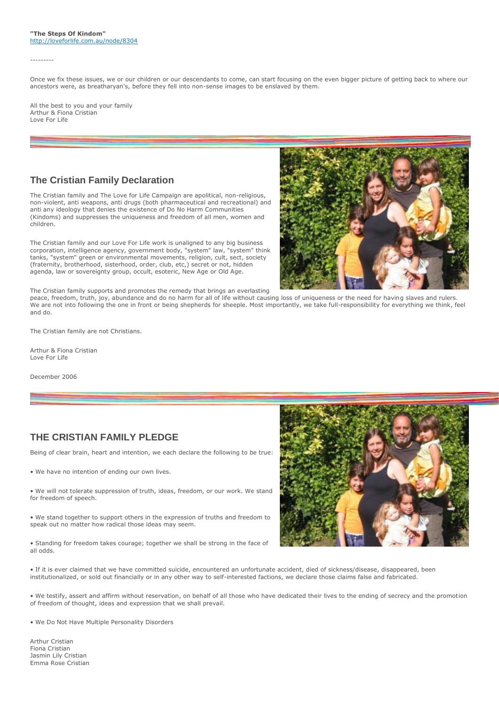#### ---------

Once we fix these issues, we or our children or our descendants to come, can start focusing on the even bigger picture of getting back to where our ancestors were, as breatharyan's, before they fell into non-sense images to be enslaved by them.

All the best to you and your family Arthur & Fiona Cristian Love For Life

# **The Cristian Family Declaration**

The Cristian family and The Love for Life Campaign are apolitical, non-religious, non-violent, anti weapons, anti drugs (both pharmaceutical and recreational) and anti any ideology that denies the existence of Do No Harm Communities (Kindoms) and suppresses the uniqueness and freedom of all men, women and children.

The Cristian family and our Love For Life work is unaligned to any big business corporation, intelligence agency, government body, "system" law, "system" think tanks, "system" green or environmental movements, religion, cult, sect, society (fraternity, brotherhood, sisterhood, order, club, etc,) secret or not, hidden agenda, law or sovereignty group, occult, esoteric, New Age or Old Age.



The Cristian family supports and promotes the remedy that brings an everlasting

peace, freedom, truth, joy, abundance and do no harm for all of life without causing loss of uniqueness or the need for having slaves and rulers. We are not into following the one in front or being shepherds for sheeple. Most importantly, we take full-responsibility for everything we think, feel and do.

The Cristian family are not Christians.

Arthur & Fiona Cristian Love For Life

December 2006

# **THE CRISTIAN FAMILY PLEDGE**

Being of clear brain, heart and intention, we each declare the following to be true:

• We have no intention of ending our own lives.

• We will not tolerate suppression of truth, ideas, freedom, or our work. We stand for freedom of speech.

• We stand together to support others in the expression of truths and freedom to speak out no matter how radical those ideas may seem.

• Standing for freedom takes courage; together we shall be strong in the face of all odds.



• If it is ever claimed that we have committed suicide, encountered an unfortunate accident, died of sickness/disease, disappeared, been institutionalized, or sold out financially or in any other way to self-interested factions, we declare those claims false and fabricated.

• We testify, assert and affirm without reservation, on behalf of all those who have dedicated their lives to the ending of secrecy and the promotion of freedom of thought, ideas and expression that we shall prevail.

• We Do Not Have Multiple Personality Disorders

Arthur Cristian Fiona Cristian Jasmin Lily Cristian Emma Rose Cristian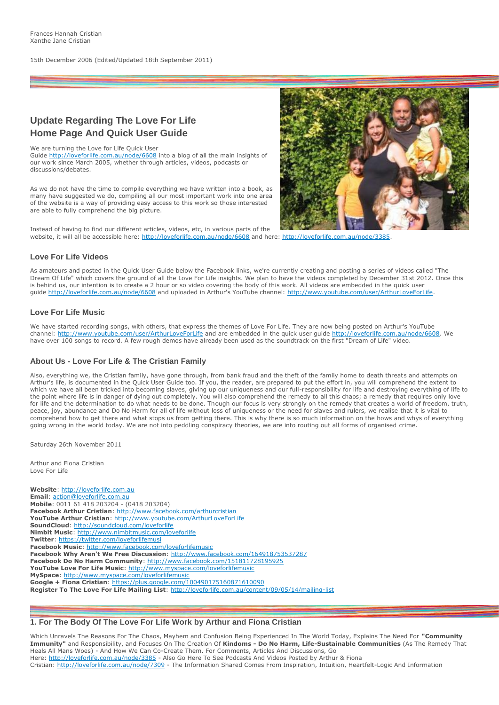15th December 2006 (Edited/Updated 18th September 2011)

# **Update Regarding The Love For Life Home Page And Quick User Guide**

We are turning the Love for Life Quick User

Guide <http://loveforlife.com.au/node/6608> into a blog of all the main insights of our work since March 2005, whether through articles, videos, podcasts or discussions/debates.

As we do not have the time to compile everything we have written into a book, as many have suggested we do, compiling all our most important work into one area of the website is a way of providing easy access to this work so those interested are able to fully comprehend the big picture.



Instead of having to find our different articles, videos, etc, in various parts of the website, it will all be accessible here: <http://loveforlife.com.au/node/6608> and here: [http://loveforlife.com.au/node/3385.](http://loveforlife.com.au/node/3385)

# **Love For Life Videos**

As amateurs and posted in the Quick User Guide below the Facebook links, we're currently creating and posting a series of videos called "The Dream Of Life" which covers the ground of all the Love For Life insights. We plan to have the videos completed by December 31st 2012. Once this is behind us, our intention is to create a 2 hour or so video covering the body of this work. All videos are embedded in the quick user guide <http://loveforlife.com.au/node/6608> and uploaded in Arthur's YouTube channel: [http://www.youtube.com/user/ArthurLoveForLife.](http://www.youtube.com/user/ArthurLoveForLife)

# **Love For Life Music**

We have started recording songs, with others, that express the themes of Love For Life. They are now being posted on Arthur's YouTube channel: <http://www.youtube.com/user/ArthurLoveForLife> and are embedded in the quick user guide [http://loveforlife.com.au/node/6608.](http://loveforlife.com.au/node/6608) We have over 100 songs to record. A few rough demos have already been used as the soundtrack on the first "Dream of Life" video.

#### **About Us - Love For Life & The Cristian Family**

Also, everything we, the Cristian family, have gone through, from bank fraud and the theft of the family home to death threats and attempts on Arthur's life, is documented in the Quick User Guide too. If you, the reader, are prepared to put the effort in, you will comprehend the extent to which we have all been tricked into becoming slaves, giving up our uniqueness and our full-responsibility for life and destroying everything of life to the point where life is in danger of dying out completely. You will also comprehend the remedy to all this chaos; a remedy that requires only love for life and the determination to do what needs to be done. Though our focus is very strongly on the remedy that creates a world of freedom, truth, peace, joy, abundance and Do No Harm for all of life without loss of uniqueness or the need for slaves and rulers, we realise that it is vital to comprehend how to get there and what stops us from getting there. This is why there is so much information on the hows and whys of everything going wrong in the world today. We are not into peddling conspiracy theories, we are into routing out all forms of organised crime.

Saturday 26th November 2011

Arthur and Fiona Cristian Love For Life

**Website**: [http://loveforlife.com.au](http://loveforlife.com.au/) **Email**: [action@loveforlife.com.au](mailto:action@loveforlife.com.au) **Mobile**: 0011 61 418 203204 - (0418 203204) **Facebook Arthur Cristian**: <http://www.facebook.com/arthurcristian> **YouTube Arthur Cristian**: <http://www.youtube.com/ArthurLoveForLife> **SoundCloud**: <http://soundcloud.com/loveforlife> **Nimbit Music**: <http://www.nimbitmusic.com/loveforlife> **Twitter**: <https://twitter.com/loveforlifemusi> **Facebook Music**: <http://www.facebook.com/loveforlifemusic> **Facebook Why Aren't We Free Discussion**: <http://www.facebook.com/164918753537287> **Facebook Do No Harm Community**: <http://www.facebook.com/151811728195925> **YouTube Love For Life Music**: <http://www.myspace.com/loveforlifemusic> **MySpace**: <http://www.myspace.com/loveforlifemusic> **Google + Fiona Cristian**: <https://plus.google.com/100490175160871610090> **Register To The Love For Life Mailing List**: <http://loveforlife.com.au/content/09/05/14/mailing-list>

# **1. For The Body Of The Love For Life Work by Arthur and Fiona Cristian**

Which Unravels The Reasons For The Chaos, Mayhem and Confusion Being Experienced In The World Today, Explains The Need For **"Community Immunity"** and Responsibility, and Focuses On The Creation Of **Kindoms - Do No Harm, Life-Sustainable Communities** (As The Remedy That Heals All Mans Woes) - And How We Can Co-Create Them. For Comments, Articles And Discussions, Go Here: <http://loveforlife.com.au/node/3385> - Also Go Here To See Podcasts And Videos Posted by Arthur & Fiona Cristian: <http://loveforlife.com.au/node/7309> - The Information Shared Comes From Inspiration, Intuition, Heartfelt-Logic And Information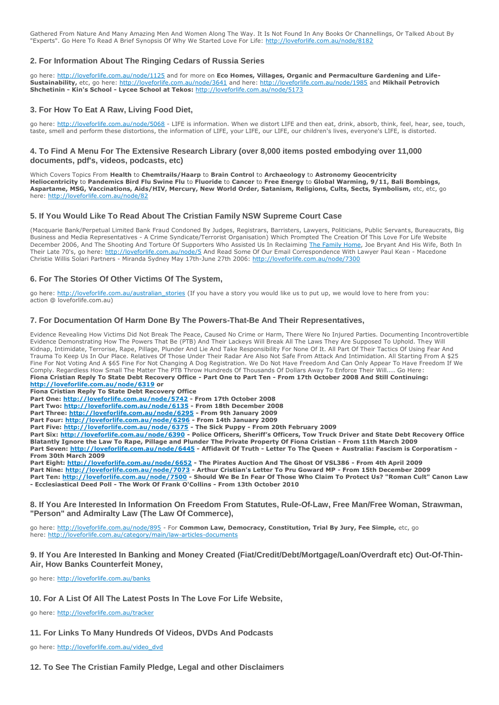Gathered From Nature And Many Amazing Men And Women Along The Way. It Is Not Found In Any Books Or Channellings, Or Talked About By "Experts". Go Here To Read A Brief Synopsis Of Why We Started Love For Life: <http://loveforlife.com.au/node/8182>

# **2. For Information About The Ringing Cedars of Russia Series**

go here: <http://loveforlife.com.au/node/1125> and for more on **Eco Homes, Villages, Organic and Permaculture Gardening and Life-Sustainability,** etc, go here: <http://loveforlife.com.au/node/3641> and here: <http://loveforlife.com.au/node/1985> and **Mikhail Petrovich Shchetinin - Kin's School - Lycee School at Tekos:** <http://loveforlife.com.au/node/5173>

## **3. For How To Eat A Raw, Living Food Diet,**

go here: <http://loveforlife.com.au/node/5068> - LIFE is information. When we distort LIFE and then eat, drink, absorb, think, feel, hear, see, touch, taste, smell and perform these distortions, the information of LIFE, your LIFE, our LIFE, our children's lives, everyone's LIFE, is distorted.

## **4. To Find A Menu For The Extensive Research Library (over 8,000 items posted embodying over 11,000 documents, pdf's, videos, podcasts, etc)**

Which Covers Topics From **Health** to **Chemtrails/Haarp** to **Brain Control** to **Archaeology** to **Astronomy Geocentricity Heliocentricity** to **Pandemics Bird Flu Swine Flu** to **Fluoride** to **Cancer** to **Free Energy** to **Global Warming, 9/11, Bali Bombings, Aspartame, MSG, Vaccinations, Aids/HIV, Mercury, New World Order, Satanism, Religions, Cults, Sects, Symbolism,** etc, etc, go here: <http://loveforlife.com.au/node/82>

#### **5. If You Would Like To Read About The Cristian Family NSW Supreme Court Case**

(Macquarie Bank/Perpetual Limited Bank Fraud Condoned By Judges, Registrars, Barristers, Lawyers, Politicians, Public Servants, Bureaucrats, Big Business and Media Representatives - A Crime Syndicate/Terrorist Organisation) Which Prompted The Creation Of This Love For Life Website December 2006, And The Shooting And Torture Of Supporters Who Assisted Us In Reclaiming [The Family Home,](http://www.rent-a-home.com.au/home/property/gallery.aspx?propertyid=2710) Joe Bryant And His Wife, Both In Their Late 70's, go here: <http://loveforlife.com.au/node/5> And Read Some Of Our Email Correspondence With Lawyer Paul Kean - Macedone Christie Willis Solari Partners - Miranda Sydney May 17th-June 27th 2006: <http://loveforlife.com.au/node/7300>

#### **6. For The Stories Of Other Victims Of The System,**

go here: [http://loveforlife.com.au/australian\\_stories](http://loveforlife.com.au/australian_stories) (If you have a story you would like us to put up, we would love to here from you: action @ loveforlife.com.au)

#### **7. For Documentation Of Harm Done By The Powers-That-Be And Their Representatives,**

Evidence Revealing How Victims Did Not Break The Peace, Caused No Crime or Harm, There Were No Injured Parties. Documenting Incontrovertible Evidence Demonstrating How The Powers That Be (PTB) And Their Lackeys Will Break All The Laws They Are Supposed To Uphold. They Will Kidnap, Intimidate, Terrorise, Rape, Pillage, Plunder And Lie And Take Responsibility For None Of It. All Part Of Their Tactics Of Using Fear And Trauma To Keep Us In Our Place. Relatives Of Those Under Their Radar Are Also Not Safe From Attack And Intimidation. All Starting From A \$25 Fine For Not Voting And A \$65 Fine For Not Changing A Dog Registration. We Do Not Have Freedom And Can Only Appear To Have Freedom If We Comply. Regardless How Small The Matter The PTB Throw Hundreds Of Thousands Of Dollars Away To Enforce Their Will.... Go Here: **Fiona Cristian Reply To State Debt Recovery Office - Part One to Part Ten - From 17th October 2008 And Still Continuing:**

**<http://loveforlife.com.au/node/6319> or Fiona Cristian Reply To State Debt Recovery Office**

**Part One: <http://loveforlife.com.au/node/5742> - From 17th October 2008**

**Part Two: <http://loveforlife.com.au/node/6135> - From 18th December 2008**

**Part Three: <http://loveforlife.com.au/node/6295> - From 9th January 2009**

**Part Four: <http://loveforlife.com.au/node/6296> - From 14th January 2009**

**Part Five: <http://loveforlife.com.au/node/6375> - The Sick Puppy - From 20th February 2009**

**Part Six: <http://loveforlife.com.au/node/6390> - Police Officers, Sheriff's Officers, Tow Truck Driver and State Debt Recovery Office Blatantly Ignore the Law To Rape, Pillage and Plunder The Private Property Of Fiona Cristian - From 11th March 2009 Part Seven: <http://loveforlife.com.au/node/6445> - Affidavit Of Truth - Letter To The Queen + Australia: Fascism is Corporatism - From 30th March 2009**

**Part Eight: <http://loveforlife.com.au/node/6652> - The Pirates Auction And The Ghost Of VSL386 - From 4th April 2009 Part Nine: <http://loveforlife.com.au/node/7073> - Arthur Cristian's Letter To Pru Goward MP - From 15th December 2009 Part Ten: <http://loveforlife.com.au/node/7500> - Should We Be In Fear Of Those Who Claim To Protect Us? "Roman Cult" Canon Law - Ecclesiastical Deed Poll - The Work Of Frank O'Collins - From 13th October 2010**

**8. If You Are Interested In Information On Freedom From Statutes, Rule-Of-Law, Free Man/Free Woman, Strawman, "Person" and Admiralty Law (The Law Of Commerce),**

go here: <http://loveforlife.com.au/node/895> - For **Common Law, Democracy, Constitution, Trial By Jury, Fee Simple,** etc, go here: <http://loveforlife.com.au/category/main/law-articles-documents>

#### **9. If You Are Interested In Banking and Money Created (Fiat/Credit/Debt/Mortgage/Loan/Overdraft etc) Out-Of-Thin-Air, How Banks Counterfeit Money,**

go here: <http://loveforlife.com.au/banks>

#### **10. For A List Of All The Latest Posts In The Love For Life Website,**

go here: <http://loveforlife.com.au/tracker>

#### **11. For Links To Many Hundreds Of Videos, DVDs And Podcasts**

go here: [http://loveforlife.com.au/video\\_dvd](http://loveforlife.com.au/video_dvd)

**12. To See The Cristian Family Pledge, Legal and other Disclaimers**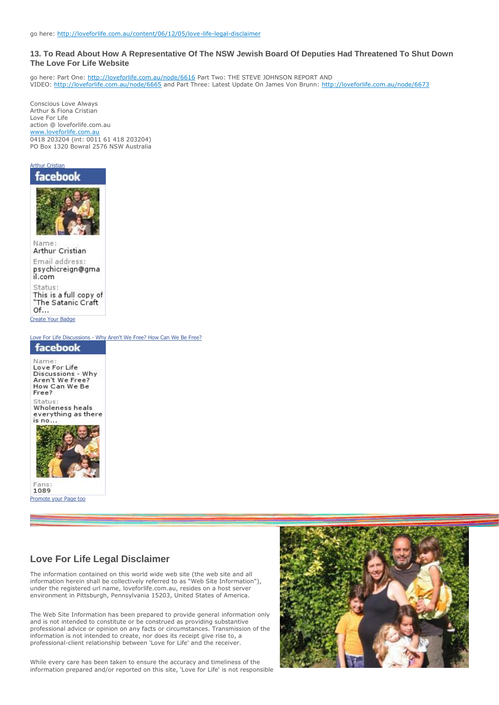# **13. To Read About How A Representative Of The NSW Jewish Board Of Deputies Had Threatened To Shut Down The Love For Life Website**

go here: Part One: <http://loveforlife.com.au/node/6616> Part Two: THE STEVE JOHNSON REPORT AND VIDEO: <http://loveforlife.com.au/node/6665> and Part Three: Latest Update On James Von Brunn: <http://loveforlife.com.au/node/6673>

Conscious Love Always Arthur & Fiona Cristian Love For Life action @ loveforlife.com.au [www.loveforlife.com.au](http://www.loveforlife.com.au/) 0418 203204 (int: 0011 61 418 203204) PO Box 1320 Bowral 2576 NSW Australia



Arthur Cristian Email address: psychicreign@gma il.com Status: This is a full copy of "The Satanic Craft Of...

[Create Your Badge](http://www.facebook.com/facebook-widgets/)

Love For Life Discussions - [Why Aren't We Free? How Can We Be Free?](http://www.facebook.com/pages/Love-For-Life-Discussions-Why-Arent-We-Free-How-Can-We-Be-Free/164918753537287)





[Promote your Page too](http://www.facebook.com/business/dashboard/)

# **Love For Life Legal Disclaimer**

The information contained on this world wide web site (the web site and all information herein shall be collectively referred to as "Web Site Information"), under the registered url name, loveforlife.com.au, resides on a host server environment in Pittsburgh, Pennsylvania 15203, United States of America.

The Web Site Information has been prepared to provide general information only and is not intended to constitute or be construed as providing substantive professional advice or opinion on any facts or circumstances. Transmission of the information is not intended to create, nor does its receipt give rise to, a professional-client relationship between 'Love for Life' and the receiver.

While every care has been taken to ensure the accuracy and timeliness of the information prepared and/or reported on this site, 'Love for Life' is not responsible

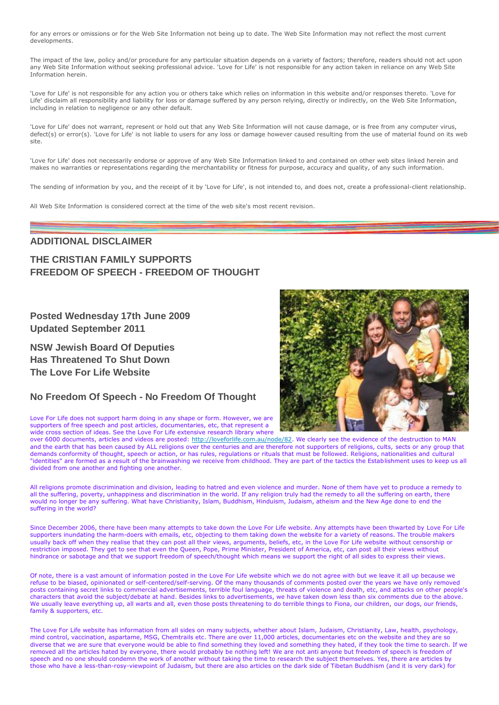for any errors or omissions or for the Web Site Information not being up to date. The Web Site Information may not reflect the most current developments.

The impact of the law, policy and/or procedure for any particular situation depends on a variety of factors; therefore, readers should not act upon any Web Site Information without seeking professional advice. 'Love for Life' is not responsible for any action taken in reliance on any Web Site Information herein.

'Love for Life' is not responsible for any action you or others take which relies on information in this website and/or responses thereto. 'Love for Life' disclaim all responsibility and liability for loss or damage suffered by any person relying, directly or indirectly, on the Web Site Information, including in relation to negligence or any other default.

'Love for Life' does not warrant, represent or hold out that any Web Site Information will not cause damage, or is free from any computer virus, defect(s) or error(s). 'Love for Life' is not liable to users for any loss or damage however caused resulting from the use of material found on its web site.

'Love for Life' does not necessarily endorse or approve of any Web Site Information linked to and contained on other web sites linked herein and makes no warranties or representations regarding the merchantability or fitness for purpose, accuracy and quality, of any such information.

The sending of information by you, and the receipt of it by 'Love for Life', is not intended to, and does not, create a professional-client relationship.

All Web Site Information is considered correct at the time of the web site's most recent revision.

# **ADDITIONAL DISCLAIMER**

# **THE CRISTIAN FAMILY SUPPORTS FREEDOM OF SPEECH - FREEDOM OF THOUGHT**

**Posted Wednesday 17th June 2009 Updated September 2011**

**NSW Jewish Board Of Deputies Has Threatened To Shut Down The Love For Life Website**

# **No Freedom Of Speech - No Freedom Of Thought**



Love For Life does not support harm doing in any shape or form. However, we are supporters of free speech and post articles, documentaries, etc, that represent a wide cross section of ideas. See the Love For Life extensive research library where

over 6000 documents, articles and videos are posted: [http://loveforlife.com.au/node/82.](http://loveforlife.com.au/node/82) We clearly see the evidence of the destruction to MAN and the earth that has been caused by ALL religions over the centuries and are therefore not supporters of religions, cults, sects or any group that demands conformity of thought, speech or action, or has rules, regulations or rituals that must be followed. Religions, nationalities and cultural "identities" are formed as a result of the brainwashing we receive from childhood. They are part of the tactics the Establishment uses to keep us all divided from one another and fighting one another.

All religions promote discrimination and division, leading to hatred and even violence and murder. None of them have yet to produce a remedy to all the suffering, poverty, unhappiness and discrimination in the world. If any religion truly had the remedy to all the suffering on earth, there would no longer be any suffering. What have Christianity, Islam, Buddhism, Hinduism, Judaism, atheism and the New Age done to end the suffering in the world?

Since December 2006, there have been many attempts to take down the Love For Life website. Any attempts have been thwarted by Love For Life supporters inundating the harm-doers with emails, etc, objecting to them taking down the website for a variety of reasons. The trouble makers usually back off when they realise that they can post all their views, arguments, beliefs, etc, in the Love For Life website without censorship or restriction imposed. They get to see that even the Queen, Pope, Prime Minister, President of America, etc, can post all their views without hindrance or sabotage and that we support freedom of speech/thought which means we support the right of all sides to express their views.

Of note, there is a vast amount of information posted in the Love For Life website which we do not agree with but we leave it all up because we refuse to be biased, opinionated or self-centered/self-serving. Of the many thousands of comments posted over the years we have only removed posts containing secret links to commercial advertisements, terrible foul language, threats of violence and death, etc, and attacks on other people's characters that avoid the subject/debate at hand. Besides links to advertisements, we have taken down less than six comments due to the above. We usually leave everything up, all warts and all, even those posts threatening to do terrible things to Fiona, our children, our dogs, our friends, family & supporters, etc.

The Love For Life website has information from all sides on many subjects, whether about Islam, Judaism, Christianity, Law, health, psychology, mind control, vaccination, aspartame, MSG, Chemtrails etc. There are over 11,000 articles, documentaries etc on the website and they are so diverse that we are sure that everyone would be able to find something they loved and something they hated, if they took the time to search. If we removed all the articles hated by everyone, there would probably be nothing left! We are not anti anyone but freedom of speech is freedom of speech and no one should condemn the work of another without taking the time to research the subject themselves. Yes, there are articles by those who have a less-than-rosy-viewpoint of Judaism, but there are also articles on the dark side of Tibetan Buddhism (and it is very dark) for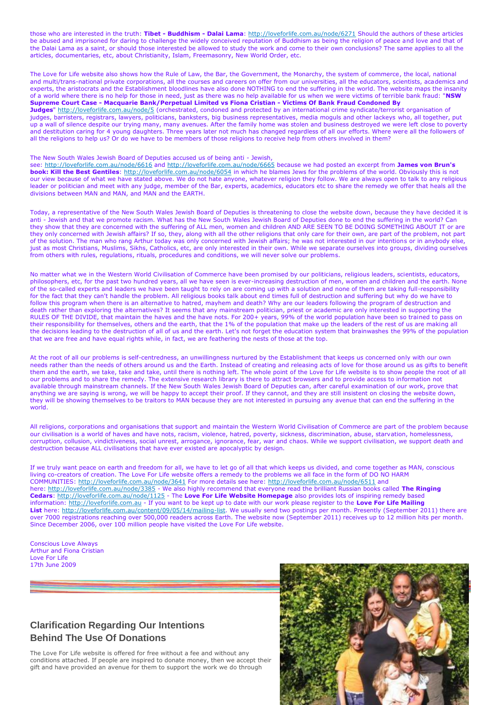those who are interested in the truth: **Tibet - Buddhism - Dalai Lama**: <http://loveforlife.com.au/node/6271> Should the authors of these articles be abused and imprisoned for daring to challenge the widely conceived reputation of Buddhism as being the religion of peace and love and that of the Dalai Lama as a saint, or should those interested be allowed to study the work and come to their own conclusions? The same applies to all the articles, documentaries, etc, about Christianity, Islam, Freemasonry, New World Order, etc.

The Love for Life website also shows how the Rule of Law, the Bar, the Government, the Monarchy, the system of commerce, the local, national and multi/trans-national private corporations, all the courses and careers on offer from our universities, all the educators, scientists, academics and experts, the aristocrats and the Establishment bloodlines have also done NOTHING to end the suffering in the world. The website maps the insanity of a world where there is no help for those in need, just as there was no help available for us when we were victims of terrible bank fraud: "**NSW Supreme Court Case - Macquarie Bank/Perpetual Limited vs Fiona Cristian - Victims Of Bank Fraud Condoned By** 

**Judges**" <http://loveforlife.com.au/node/5> (orchestrated, condoned and protected by an international crime syndicate/terrorist organisation of judges, barristers, registrars, lawyers, politicians, banksters, big business representatives, media moguls and other lackeys who, all together, put up a wall of silence despite our trying many, many avenues. After the family home was stolen and business destroyed we were left close to poverty and destitution caring for 4 young daughters. Three years later not much has changed regardless of all our efforts. Where were all the followers of all the religions to help us? Or do we have to be members of those religions to receive help from others involved in them?

#### The New South Wales Jewish Board of Deputies accused us of being anti - Jewish,

see: <http://loveforlife.com.au/node/6616> and <http://loveforlife.com.au/node/6665> because we had posted an excerpt from **James von Brun's book: Kill the Best Gentiles**: <http://loveforlife.com.au/node/6054> in which he blames Jews for the problems of the world. Obviously this is not our view because of what we have stated above. We do not hate anyone, whatever religion they follow. We are always open to talk to any religious leader or politician and meet with any judge, member of the Bar, experts, academics, educators etc to share the remedy we offer that heals all the divisions between MAN and MAN, and MAN and the EARTH.

Today, a representative of the New South Wales Jewish Board of Deputies is threatening to close the website down, because they have decided it is anti - Jewish and that we promote racism. What has the New South Wales Jewish Board of Deputies done to end the suffering in the world? Can they show that they are concerned with the suffering of ALL men, women and children AND ARE SEEN TO BE DOING SOMETHING ABOUT IT or are they only concerned with Jewish affairs? If so, they, along with all the other religions that only care for their own, are part of the problem, not part of the solution. The man who rang Arthur today was only concerned with Jewish affairs; he was not interested in our intentions or in anybody else, just as most Christians, Muslims, Sikhs, Catholics, etc, are only interested in their own. While we separate ourselves into groups, dividing ourselves from others with rules, regulations, rituals, procedures and conditions, we will never solve our problems.

No matter what we in the Western World Civilisation of Commerce have been promised by our politicians, religious leaders, scientists, educators, philosophers, etc, for the past two hundred years, all we have seen is ever-increasing destruction of men, women and children and the earth. None of the so-called experts and leaders we have been taught to rely on are coming up with a solution and none of them are taking full-responsibility for the fact that they can't handle the problem. All religious books talk about end times full of destruction and suffering but why do we have to follow this program when there is an alternative to hatred, mayhem and death? Why are our leaders following the program of destruction and death rather than exploring the alternatives? It seems that any mainstream politician, priest or academic are only interested in supporting the RULES OF THE DIVIDE, that maintain the haves and the have nots. For 200+ years, 99% of the world population have been so trained to pass on their responsibility for themselves, others and the earth, that the 1% of the population that make up the leaders of the rest of us are making all the decisions leading to the destruction of all of us and the earth. Let's not forget the education system that brainwashes the 99% of the population that we are free and have equal rights while, in fact, we are feathering the nests of those at the top.

At the root of all our problems is self-centredness, an unwillingness nurtured by the Establishment that keeps us concerned only with our own needs rather than the needs of others around us and the Earth. Instead of creating and releasing acts of love for those around us as gifts to benefit them and the earth, we take, take and take, until there is nothing left. The whole point of the Love for Life website is to show people the root of all our problems and to share the remedy. The extensive research library is there to attract browsers and to provide access to information not available through mainstream channels. If the New South Wales Jewish Board of Deputies can, after careful examination of our work, prove that anything we are saying is wrong, we will be happy to accept their proof. If they cannot, and they are still insistent on closing the website down, they will be showing themselves to be traitors to MAN because they are not interested in pursuing any avenue that can end the suffering in the world.

All religions, corporations and organisations that support and maintain the Western World Civilisation of Commerce are part of the problem because our civilisation is a world of haves and have nots, racism, violence, hatred, poverty, sickness, discrimination, abuse, starvation, homelessness, corruption, collusion, vindictiveness, social unrest, arrogance, ignorance, fear, war and chaos. While we support civilisation, we support death and destruction because ALL civilisations that have ever existed are apocalyptic by design.

If we truly want peace on earth and freedom for all, we have to let go of all that which keeps us divided, and come together as MAN, conscious living co-creators of creation. The Love For Life website offers a remedy to the problems we all face in the form of DO NO HARM COMMUNITIES: <http://loveforlife.com.au/node/3641> For more details see here: <http://loveforlife.com.au/node/6511> and here: <http://loveforlife.com.au/node/3385> - We also highly recommend that everyone read the brilliant Russian books called **The Ringing Cedars**: <http://loveforlife.com.au/node/1125> - The **Love For Life Website Homepage** also provides lots of inspiring remedy based information: [http://loveforlife.com.au](http://loveforlife.com.au/) - If you want to be kept up to date with our work please register to the **Love For Life Mailing**  List here: [http://loveforlife.com.au/content/09/05/14/mailing-list.](http://loveforlife.com.au/content/09/05/14/mailing-list) We usually send two postings per month. Presently (September 2011) there are over 7000 registrations reaching over 500,000 readers across Earth. The website now (September 2011) receives up to 12 million hits per month. Since December 2006, over 100 million people have visited the Love For Life website.

Conscious Love Always Arthur and Fiona Cristian Love For Life 17th June 2009

# **Clarification Regarding Our Intentions Behind The Use Of Donations**

The Love For Life website is offered for free without a fee and without any conditions attached. If people are inspired to donate money, then we accept their gift and have provided an avenue for them to support the work we do through